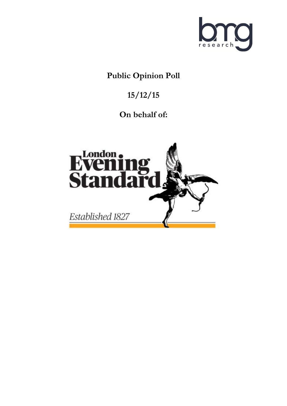

# **Public Opinion Poll**

# **15/12/15**

# **On behalf of:**

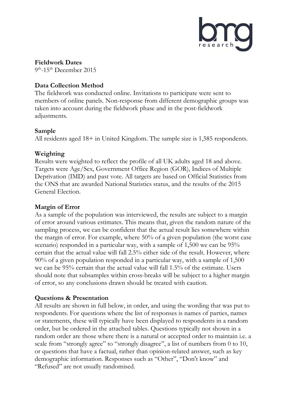

**Fieldwork Dates** 9<sup>th</sup>-15<sup>th</sup> December 2015

## **Data Collection Method**

The fieldwork was conducted online. Invitations to participate were sent to members of online panels. Non-response from different demographic groups was taken into account during the fieldwork phase and in the post-fieldwork adjustments.

### **Sample**

All residents aged 18+ in United Kingdom. The sample size is 1,585 respondents.

## **Weighting**

Results were weighted to reflect the profile of all UK adults aged 18 and above. Targets were Age/Sex, Government Office Region (GOR), Indices of Multiple Deprivation (IMD) and past vote. All targets are based on Official Statistics from the ONS that are awarded National Statistics status, and the results of the 2015 General Election.

# **Margin of Error**

As a sample of the population was interviewed, the results are subject to a margin of error around various estimates. This means that, given the random nature of the sampling process, we can be confident that the actual result lies somewhere within the margin of error. For example, where 50% of a given population (the worst case scenario) responded in a particular way, with a sample of 1,500 we can be 95% certain that the actual value will fall 2.5% either side of the result. However, where 90% of a given population responded in a particular way, with a sample of 1,500 we can be 95% certain that the actual value will fall 1.5% of the estimate. Users should note that subsamples within cross-breaks will be subject to a higher margin of error, so any conclusions drawn should be treated with caution.

## **Questions & Presentation**

All results are shown in full below, in order, and using the wording that was put to respondents. For questions where the list of responses is names of parties, names or statements, these will typically have been displayed to respondents in a random order, but be ordered in the attached tables. Questions typically not shown in a random order are those where there is a natural or accepted order to maintain i.e. a scale from "strongly agree" to "strongly disagree", a list of numbers from 0 to 10, or questions that have a factual, rather than opinion-related answer, such as key demographic information. Responses such as "Other", "Don't know" and "Refused" are not usually randomised.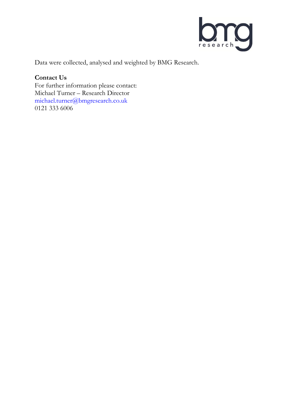

Data were collected, analysed and weighted by BMG Research.

## **Contact Us**

For further information please contact: Michael Turner – Research Director michael.turner@bmgresearch.co.uk 0121 333 6006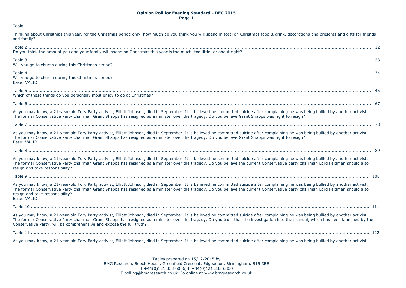| <b>Opinion Poll for Evening Standard - DEC 2015</b><br>Page 1                                                                                                                                                                                                                                                                                                                                                                                            |  |
|----------------------------------------------------------------------------------------------------------------------------------------------------------------------------------------------------------------------------------------------------------------------------------------------------------------------------------------------------------------------------------------------------------------------------------------------------------|--|
|                                                                                                                                                                                                                                                                                                                                                                                                                                                          |  |
| Thinking about Christmas this year, for the Christmas period only, how much do you think you will spend in total on Christmas food & drink, decorations and presents and gifts for friends<br>and family?                                                                                                                                                                                                                                                |  |
| Do you think the amount you and your family will spend on Christmas this year is too much, too little, or about right?                                                                                                                                                                                                                                                                                                                                   |  |
| Will you go to church during this Christmas period?                                                                                                                                                                                                                                                                                                                                                                                                      |  |
| Will you go to church during this Christmas period?<br>Base: VALID                                                                                                                                                                                                                                                                                                                                                                                       |  |
| Which of these things do you personally most enjoy to do at Christmas?                                                                                                                                                                                                                                                                                                                                                                                   |  |
|                                                                                                                                                                                                                                                                                                                                                                                                                                                          |  |
| As you may know, a 21-year-old Tory Party activist, Elliott Johnson, died in September. It is believed he committed suicide after complaining he was being bullied by another activist.<br>The former Conservative Party chairman Grant Shapps has resigned as a minister over the tragedy. Do you believe Grant Shapps was right to resign?                                                                                                             |  |
|                                                                                                                                                                                                                                                                                                                                                                                                                                                          |  |
| As you may know, a 21-year-old Tory Party activist, Elliott Johnson, died in September. It is believed he committed suicide after complaining he was being bullied by another activist.<br>The former Conservative Party chairman Grant Shapps has resigned as a minister over the tragedy. Do you believe Grant Shapps was right to resign?<br>Base: VALID                                                                                              |  |
|                                                                                                                                                                                                                                                                                                                                                                                                                                                          |  |
| As you may know, a 21-year-old Tory Party activist, Elliott Johnson, died in September. It is believed he committed suicide after complaining he was being bullied by another activist.<br>The former Conservative Party chairman Grant Shapps has resigned as a minister over the tragedy. Do you believe the current Conservative party chairman Lord Feldman should also<br>resign and take responsibility?                                           |  |
|                                                                                                                                                                                                                                                                                                                                                                                                                                                          |  |
| As you may know, a 21-year-old Tory Party activist, Elliott Johnson, died in September. It is believed he committed suicide after complaining he was being bullied by another activist.<br>The former Conservative Party chairman Grant Shapps has resigned as a minister over the tragedy. Do you believe the current Conservative party chairman Lord Feldman should also<br>resign and take responsibility?<br>Base: VALID                            |  |
|                                                                                                                                                                                                                                                                                                                                                                                                                                                          |  |
| As you may know, a 21-year-old Tory Party activist, Elliott Johnson, died in September. It is believed he committed suicide after complaining he was being bullied by another activist.<br>The former Conservative Party chairman Grant Shapps has resigned as a minister over the tragedy. Do you trust that the investigation into the scandal, which has been launched by the<br>Conservative Party, will be comprehensive and expose the full truth? |  |
|                                                                                                                                                                                                                                                                                                                                                                                                                                                          |  |
| As you may know, a 21-year-old Tory Party activist, Elliott Johnson, died in September. It is believed he committed suicide after complaining he was being bullied by another activist.                                                                                                                                                                                                                                                                  |  |
| Tables prepared on 15/12/2015 by<br>BMG Research, Beech House, Greenfield Crescent, Edgbaston, Birmingham, B15 3BE<br>T +44(0)121 333 6006, F +44(0)121 333 6800<br>E polling@bmgresearch.co.uk Go online at www.bmgresearch.co.uk                                                                                                                                                                                                                       |  |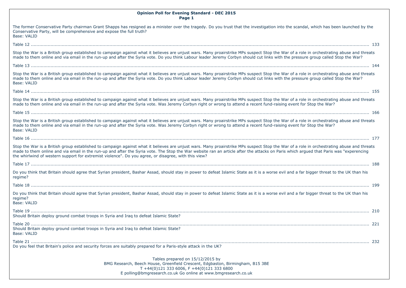| <b>Opinion Poll for Evening Standard - DEC 2015</b><br>Page 1                                                                                                                                                                                                                                                                                                                                                                                                                              |
|--------------------------------------------------------------------------------------------------------------------------------------------------------------------------------------------------------------------------------------------------------------------------------------------------------------------------------------------------------------------------------------------------------------------------------------------------------------------------------------------|
| The former Conservative Party chairman Grant Shapps has resigned as a minister over the tragedy. Do you trust that the investigation into the scandal, which has been launched by the<br>Conservative Party, will be comprehensive and expose the full truth?<br>Base: VALID                                                                                                                                                                                                               |
|                                                                                                                                                                                                                                                                                                                                                                                                                                                                                            |
| Stop the War is a British group established to campaign against what it believes are unjust wars. Many proairstrike MPs suspect Stop the War of a role in orchestrating abuse and threats<br>made to them online and via email in the run-up and after the Syria vote. Do you think Labour leader Jeremy Corbyn should cut links with the pressure group called Stop the War?                                                                                                              |
|                                                                                                                                                                                                                                                                                                                                                                                                                                                                                            |
| Stop the War is a British group established to campaign against what it believes are unjust wars. Many proairstrike MPs suspect Stop the War of a role in orchestrating abuse and threats<br>made to them online and via email in the run-up and after the Syria vote. Do you think Labour leader Jeremy Corbyn should cut links with the pressure group called Stop the War?<br>Base: VALID                                                                                               |
|                                                                                                                                                                                                                                                                                                                                                                                                                                                                                            |
| Stop the War is a British group established to campaign against what it believes are unjust wars. Many proairstrike MPs suspect Stop the War of a role in orchestrating abuse and threats<br>made to them online and via email in the run-up and after the Syria vote. Was Jeremy Corbyn right or wrong to attend a recent fund-raising event for Stop the War?                                                                                                                            |
|                                                                                                                                                                                                                                                                                                                                                                                                                                                                                            |
| Stop the War is a British group established to campaign against what it believes are unjust wars. Many proairstrike MPs suspect Stop the War of a role in orchestrating abuse and threats<br>made to them online and via email in the run-up and after the Syria vote. Was Jeremy Corbyn right or wrong to attend a recent fund-raising event for Stop the War?<br>Base: VALID                                                                                                             |
|                                                                                                                                                                                                                                                                                                                                                                                                                                                                                            |
| Stop the War is a British group established to campaign against what it believes are unjust wars. Many proairstrike MPs suspect Stop the War of a role in orchestrating abuse and threats<br>made to them online and via email in the run-up and after the Syria vote. The Stop the War website ran an article after the attacks on Paris which argued that Paris was "experencing<br>the whirlwind of western support for extremist violence". Do you agree, or disagree, with this view? |
|                                                                                                                                                                                                                                                                                                                                                                                                                                                                                            |
| Do you think that Britain should agree that Syrian president, Bashar Assad, should stay in power to defeat Islamic State as it is a worse evil and a far bigger threat to the UK than his<br>regime?                                                                                                                                                                                                                                                                                       |
|                                                                                                                                                                                                                                                                                                                                                                                                                                                                                            |
| Do you think that Britain should agree that Syrian president, Bashar Assad, should stay in power to defeat Islamic State as it is a worse evil and a far bigger threat to the UK than his<br>regime?<br>Base: VALID                                                                                                                                                                                                                                                                        |
| Should Britain deploy ground combat troops in Syria and Iraq to defeat Islamic State?                                                                                                                                                                                                                                                                                                                                                                                                      |
| Should Britain deploy ground combat troops in Syria and Iraq to defeat Islamic State?<br>Base: VALID                                                                                                                                                                                                                                                                                                                                                                                       |
| Do you feel that Britain's police and security forces are suitably prepared for a Paris-style attack in the UK?                                                                                                                                                                                                                                                                                                                                                                            |
| Tables prepared on 15/12/2015 by<br>BMG Research, Beech House, Greenfield Crescent, Edgbaston, Birmingham, B15 3BE<br>T +44(0)121 333 6006, F +44(0)121 333 6800<br>E polling@bmgresearch.co.uk Go online at www.bmgresearch.co.uk                                                                                                                                                                                                                                                         |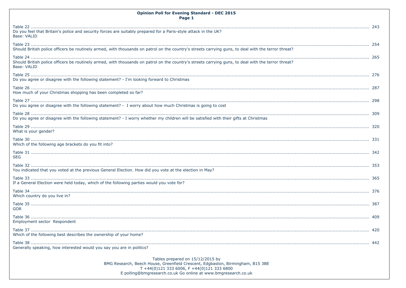| <b>Opinion Poll for Evening Standard - DEC 2015</b><br>Page 1                                                                                                                                                                      |  |
|------------------------------------------------------------------------------------------------------------------------------------------------------------------------------------------------------------------------------------|--|
| Do you feel that Britain's police and security forces are suitably prepared for a Paris-style attack in the UK?<br>Base: VALID                                                                                                     |  |
| Should British police officers be routinely armed, with thousands on patrol on the country's streets carrying guns, to deal with the terror threat?                                                                                |  |
| Should British police officers be routinely armed, with thousands on patrol on the country's streets carrying guns, to deal with the terror threat?<br>Base: VALID                                                                 |  |
| Do you agree or disagree with the following statement? - I'm looking forward to Christmas                                                                                                                                          |  |
| How much of your Christmas shopping has been completed so far?                                                                                                                                                                     |  |
| Do you agree or disagree with the following statement? - I worry about how much Christmas is going to cost                                                                                                                         |  |
| Do you agree or disagree with the following statement? - I worry whether my children will be satisfied with their gifts at Christmas                                                                                               |  |
| What is your gender?                                                                                                                                                                                                               |  |
| Which of the following age brackets do you fit into?                                                                                                                                                                               |  |
| <b>SEG</b>                                                                                                                                                                                                                         |  |
| You indicated that you voted at the previous General Election. How did you vote at the election in May?                                                                                                                            |  |
| If a General Election were held today, which of the following parties would you vote for?                                                                                                                                          |  |
| Which country do you live in?                                                                                                                                                                                                      |  |
| <b>GOR</b>                                                                                                                                                                                                                         |  |
| Employment sector Respondent                                                                                                                                                                                                       |  |
| Which of the following best describes the ownership of your home?                                                                                                                                                                  |  |
| Generally speaking, how interested would you say you are in politics?                                                                                                                                                              |  |
| Tables prepared on 15/12/2015 by<br>BMG Research, Beech House, Greenfield Crescent, Edgbaston, Birmingham, B15 3BE<br>T +44(0)121 333 6006, F +44(0)121 333 6800<br>E polling@bmgresearch.co.uk Go online at www.bmgresearch.co.uk |  |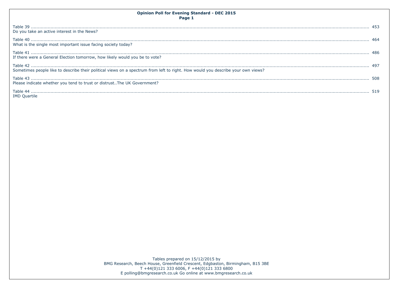| <b>Opinion Poll for Evening Standard - DEC 2015</b><br>Page 1                                                                    |  |
|----------------------------------------------------------------------------------------------------------------------------------|--|
| Do you take an active interest in the News?                                                                                      |  |
| What is the single most important issue facing society today?                                                                    |  |
| If there were a General Election tomorrow, how likely would you be to vote?                                                      |  |
| Sometimes people like to describe their political views on a spectrum from left to right. How would you describe your own views? |  |
| Please indicate whether you tend to trust or distrust. The UK Government?                                                        |  |
| <b>IMD Ouartile</b>                                                                                                              |  |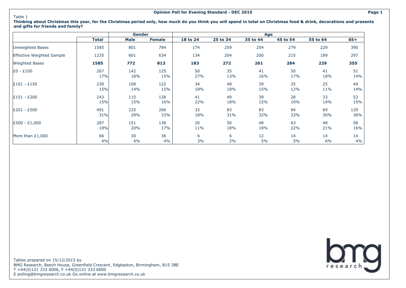#### Table 1

**Thinking about Christmas this year, for the Christmas period only, how much do you think you will spend in total on Christmas food & drink, decorations and presents and gifts for friends and family?**

|                           |              | Gender |               |          |          | Age      |          |          |       |
|---------------------------|--------------|--------|---------------|----------|----------|----------|----------|----------|-------|
|                           | <b>Total</b> | Male   | <b>Female</b> | 18 to 24 | 25 to 34 | 35 to 44 | 45 to 54 | 55 to 64 | $65+$ |
| Unweighted Bases          | 1585         | 801    | 784           | 174      | 259      | 254      | 279      | 229      | 390   |
| Effective Weighted Sample | 1235         | 601    | 634           | 134      | 204      | 200      | 215      | 189      | 297   |
| <b>Weighted Bases</b>     | 1585         | 772    | 813           | 183      | 272      | 261      | 284      | 229      | 355   |
| $E0 - £100$               | 267          | 142    | 125           | 50       | 35       | 41       | 50       | 41       | 51    |
|                           | 17%          | 18%    | 15%           | 27%      | 13%      | 16%      | 17%      | 18%      | 14%   |
| $E101 - E150$             | 230          | 108    | 122           | 34       | 48       | 39       | 35       | 25       | 49    |
|                           | 15%          | 14%    | 15%           | 18%      | 18%      | 15%      | 12%      | 11%      | 14%   |
| $£151 - £200$             | 243          | 115    | 128           | 41       | 49       | 39       | 28       | 33       | 53    |
|                           | 15%          | 15%    | 16%           | 22%      | 18%      | 15%      | 10%      | 14%      | 15%   |
| E201 - £500               | 491          | 225    | 266           | 32       | 83       | 83       | 94       | 69       | 129   |
|                           | 31%          | 29%    | 33%           | 18%      | 31%      | 32%      | 33%      | 30%      | 36%   |
| $E500 - E1,000$           | 287          | 151    | 136           | 20       | 50       | 48       | 63       | 48       | 58    |
|                           | 18%          | 20%    | 17%           | 11%      | 18%      | 18%      | 22%      | 21%      | 16%   |
| More than $£1,000$        | 66           | 30     | 36            | 6        | 6        | 12       | 14       | 14       | 14    |
|                           | 4%           | 4%     | 4%            | 3%       | 2%       | 5%       | 5%       | 6%       | 4%    |

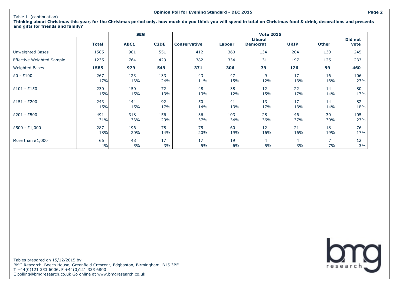#### Table 1 (continuation)

**SEG Vote 2015 Total ABC1 C2DE Conservative Labour Liberal Democrat UKIP Other Did not vote** Unweighted Bases | 1585 | 981 551 | 412 360 134 204 130 245 Effective Weighted Sample 1235 1235 125 764 429 382 334 131 197 125 233 Weighted Bases **1585 979 549 371 306 79 126 99 460** £0 - £100 267 123 133 43 47 9 17 16 106 17% 13% 24% 11% 15% 12% 13% 16% 23% £101 - £150 230 150 72 48 38 12 22 14 80 15% 15% 13% 13% 12% 15% 17% 14% 17% £151 - £200 243 144 92 50 41 13 17 14 82 15% 15% 17% 14% 13% 17% 13% 14% 18% £201 - £500 491 318 156 136 103 28 46 30 105 31% 33% 29% 37% 34% 36% 37% 30% 23% £500 - £1,000 287 196 78 75 60 12 21 18 76  $18\%$  20% 14% 20% 19% 16% 16% 16% 19% 17% More than £1,000  $\hphantom{00}|\hphantom{00}66$   $\hphantom{00}|\hphantom{00}48$   $\hphantom{00}17$   $\hphantom{00}|\hphantom{00}17$   $\hphantom{00}17$   $\hphantom{00}17$   $\hphantom{00}17$   $\hphantom{00}17$   $\hphantom{00}19$   $\hphantom{00}4$   $\hphantom{00}4$   $\hphantom{0}7$   $\hphantom{00}12$ 4% 5% 3% 5% 6% 5% 3% 7% 3%

**Thinking about Christmas this year, for the Christmas period only, how much do you think you will spend in total on Christmas food & drink, decorations and presents and gifts for friends and family?**

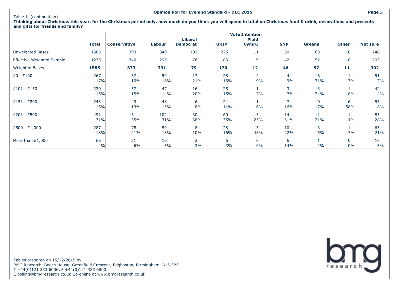#### Table 1 (continuation)

**Thinking about Christmas this year, for the Christmas period only, how much do you think you will spend in total on Christmas food & drink, decorations and presents and gifts for friends and family?**

|                           |              |                     |        |                 |             | <b>Vote Intention</b> |            |               |              |                 |
|---------------------------|--------------|---------------------|--------|-----------------|-------------|-----------------------|------------|---------------|--------------|-----------------|
|                           | <b>Total</b> | <b>Conservative</b> | Labour | <b>Liberal</b>  | <b>UKIP</b> | <b>Plaid</b>          | <b>SNP</b> |               | <b>Other</b> | <b>Not sure</b> |
|                           |              |                     |        | <b>Democrat</b> |             | Cymru                 |            | <b>Greens</b> |              |                 |
| Unweighted Bases          | 1585         | 393                 | 349    | 102             | 225         | 11                    | 50         | 63            | 10           | 248             |
| Effective Weighted Sample | 1235         | 340                 | 295    | 76              | 183         | 9                     | 42         | 52            | 8            | 203             |
| <b>Weighted Bases</b>     | 1585         | 373                 | 331    | 79              | 170         | 12                    | 46         | 57            | 11           | 302             |
| £0 - £100                 | 267          | 37                  | 59     | 17              | 28          | $\overline{2}$        | 4          | 18            |              | 51              |
|                           | 17%          | 10%                 | 18%    | 21%             | 16%         | 19%                   | 9%         | 31%           | 13%          | 17%             |
| $£101 - £150$             | 230          | 57                  | 47     | 16              | 25          |                       | 3          | 13            |              | 42              |
|                           | 15%          | 15%                 | 14%    | 20%             | 15%         | 7%                    | 7%         | 24%           | 8%           | 14%             |
| £151 - £200               | 243          | 49                  | 48     | 6               | 24          |                       | 7          | 10            | 6            | 53              |
|                           | 15%          | 13%                 | 15%    | 8%              | 14%         | 6%                    | 16%        | 17%           | 58%          | 18%             |
| £201 - £500               | 491          | 131                 | 102    | 30              | 60          | 3                     | 14         | 12            |              | 83              |
|                           | 31%          | 35%                 | 31%    | 38%             | 35%         | 25%                   | 31%        | 21%           | 14%          | 28%             |
| £500 - £1,000             | 287          | 78                  | 59     | 8               | 28          | 5                     | 10         | 3             |              | 63              |
|                           | 18%          | 21%                 | 18%    | 10%             | 16%         | 43%                   | 22%        | 5%            | 7%           | 21%             |
| More than $£1,000$        | 66           | 21                  | 16     | $\overline{2}$  | 6           | 0                     | 6          |               | 0            | 10              |
|                           | 4%           | 6%                  | 5%     | 3%              | 3%          | 0%                    | 14%        | 2%            | 0%           | 3%              |

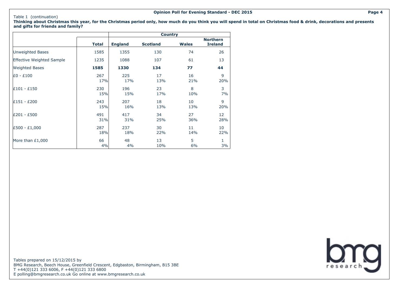#### Table 1 (continuation)

**Thinking about Christmas this year, for the Christmas period only, how much do you think you will spend in total on Christmas food & drink, decorations and presents and gifts for friends and family?**

|                                  |              |                | <b>Country</b>  |              |                                   |
|----------------------------------|--------------|----------------|-----------------|--------------|-----------------------------------|
|                                  | <b>Total</b> | <b>England</b> | <b>Scotland</b> | <b>Wales</b> | <b>Northern</b><br><b>Ireland</b> |
| Unweighted Bases                 | 1585         | 1355           | 130             | 74           | 26                                |
| <b>Effective Weighted Sample</b> | 1235         | 1088           | 107             | 61           | 13                                |
| <b>Weighted Bases</b>            | 1585         | 1330           | 134             | 77           | 44                                |
| E0 - £100                        | 267          | 225            | 17              | 16           | 9                                 |
|                                  | 17%          | 17%            | 13%             | 21%          | 20%                               |
| $E101 - E150$                    | 230          | 196            | 23              | 8            | 3                                 |
|                                  | 15%          | 15%            | 17%             | 10%          | 7%                                |
| £151 - £200                      | 243          | 207            | 18              | 10           | 9                                 |
|                                  | 15%          | 16%            | 13%             | 13%          | 20%                               |
| £201 - £500                      | 491          | 417            | 34              | 27           | 12                                |
|                                  | 31%          | 31%            | 25%             | 36%          | 28%                               |
| £500 - £1,000                    | 287          | 237            | 30              | 11           | 10                                |
|                                  | 18%          | 18%            | 22%             | 14%          | 22%                               |
| More than £1,000                 | 66           | 48             | 13              | 5            | 1                                 |
|                                  | 4%           | 4%             | 10%             | 6%           | 3%                                |

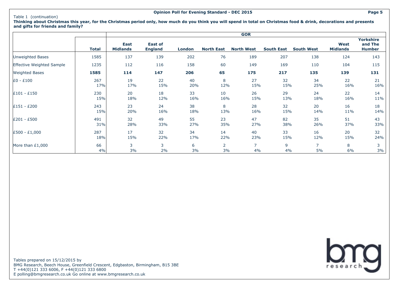#### Table 1 (continuation)

**GOR Total East Midlands East of England London North East North West South East South West West Midlands Yorkshire and The Humber** Unweighted Bases 1585 137 139 202 76 189 207 138 124 143 Effective Weighted Sample 1235 112 116 158 60 149 169 110 104 115 Weighted Bases **1585 114 147 206 65 175 217 135 139 131** £0 - £100 267 19 22 40 8 27 32 34 22 21 17% 17% 15% 20% 12% 15% 15% 25% 16% 16% £101 - £150 230 20 18 33 10 26 29 24 22 14 15% 18% 12% 16% 16% 15% 13% 18% 16% 11% £151 - £200 243 23 24 38 8 28 32 20 16 18 15% 20% 16% 18% 13% 16% 15% 14% 11% 14% £201 - £500 491 32 49 55 23 47 82 35 51 43 31% 28% 33% 27% 35% 27% 38% 26% 37% 33% £500 - £1,000 287 17 32 34 14 40 33 16 20 32 18% 15% 22% 17% 22% 23% 15% 12% 15% 24% More than £1,000 | 66 | 3 3 6 2 7 9 7 8 3 4% 3% 2% 3% 3% 4% 4% 5% 6% 3%

**Thinking about Christmas this year, for the Christmas period only, how much do you think you will spend in total on Christmas food & drink, decorations and presents and gifts for friends and family?**

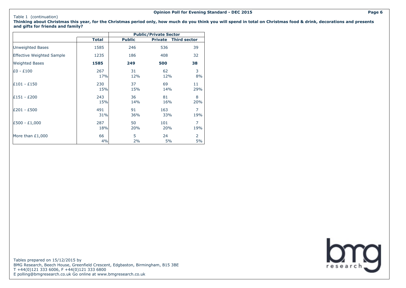#### Table 1 (continuation)

**Thinking about Christmas this year, for the Christmas period only, how much do you think you will spend in total on Christmas food & drink, decorations and presents and gifts for friends and family?**

|                                  |       |               | <b>Public/Private Sector</b> |                     |
|----------------------------------|-------|---------------|------------------------------|---------------------|
|                                  | Total | <b>Public</b> | <b>Private</b>               | <b>Third sector</b> |
| Unweighted Bases                 | 1585  | 246           | 536                          | 39                  |
| <b>Effective Weighted Sample</b> | 1235  | 186           | 408                          | 32                  |
| <b>Weighted Bases</b>            | 1585  | 249           | 500                          | 38                  |
| E0 - £100                        | 267   | 31            | 62                           | 3                   |
|                                  | 17%   | 12%           | 12%                          | 8%                  |
| £101 - £150                      | 230   | 37            | 69                           | 11                  |
|                                  | 15%   | 15%           | 14%                          | 29%                 |
| £151 - £200                      | 243   | 36            | 81                           | 8                   |
|                                  | 15%   | 14%           | 16%                          | 20%                 |
| £201 - £500                      | 491   | 91            | 163                          | 7                   |
|                                  | 31%   | 36%           | 33%                          | 19%                 |
| £500 - £1,000                    | 287   | 50            | 101                          | $\overline{7}$      |
|                                  | 18%   | 20%           | 20%                          | 19%                 |
| More than $£1,000$               | 66    | 5             | 24                           | 2                   |
|                                  | 4%    | 2%            | 5%                           | 5%                  |

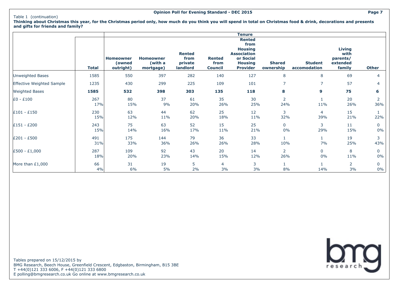**Thinking about Christmas this year, for the Christmas period only, how much do you think you will spend in total on Christmas food & drink, decorations and presents and gifts for friends and family?**

|                                         | <b>Total</b> | <b>Homeowner</b><br>(owned<br>outright) | <b>Homeowner</b><br>(with a<br>mortgage) | <b>Rented</b><br>from<br>private<br>landlord | <b>Rented</b><br>from<br><b>Council</b> | <b>Tenure</b><br><b>Rented</b><br>from<br><b>Housing</b><br><b>Association</b><br>or Social<br><b>Housing</b><br><b>Provider</b> | <b>Shared</b><br>ownership | <b>Student</b><br>accomodation | <b>Living</b><br>with<br>parents/<br>extended<br>family | <b>Other</b>         |
|-----------------------------------------|--------------|-----------------------------------------|------------------------------------------|----------------------------------------------|-----------------------------------------|----------------------------------------------------------------------------------------------------------------------------------|----------------------------|--------------------------------|---------------------------------------------------------|----------------------|
| <b>Unweighted Bases</b>                 | 1585         | 550                                     | 397                                      | 282                                          | 140                                     | 127                                                                                                                              | 8                          | 8                              | 69                                                      | 4                    |
| Effective Weighted Sample               | 1235         | 430                                     | 299                                      | 225                                          | 109                                     | 101                                                                                                                              | $\overline{7}$             | $\overline{7}$                 | 57                                                      | 4                    |
| <b>Weighted Bases</b>                   | 1585         | 532                                     | 398                                      | 303                                          | 135                                     | 118                                                                                                                              | 8                          | 9                              | 75                                                      | 6                    |
| $E0 - E100$                             | 267<br>17%   | 80<br>15%                               | 37<br>9%                                 | 61<br>20%                                    | 35<br>26%                               | 30<br>25%                                                                                                                        | 2<br>24%                   | 11%                            | 20<br>26%                                               | 2<br>36%             |
| $\text{\pounds}101 - \text{\pounds}150$ | 230<br>15%   | 63<br>12%                               | 44<br>11%                                | 62<br>20%                                    | 25<br>18%                               | 12<br>11%                                                                                                                        | 3<br>32%                   | 4<br>39%                       | 15<br>21%                                               | 22%                  |
| £151 - £200                             | 243<br>15%   | 75<br>14%                               | 63<br>16%                                | 52<br>17%                                    | 15<br>11%                               | 25<br>21%                                                                                                                        | $\mathbf 0$<br>0%          | 3<br>29%                       | 11<br>15%                                               | $\mathbf{0}$<br>0%   |
| £201 - £500                             | 491<br>31%   | 175<br>33%                              | 144<br>36%                               | 79<br>26%                                    | 36<br>26%                               | 33<br>28%                                                                                                                        | 1<br>10%                   | 7%                             | 19<br>25%                                               | 3<br>43%             |
| $E500 - E1,000$                         | 287<br>18%   | 109<br>20%                              | 92<br>23%                                | 43<br>14%                                    | 20<br>15%                               | 14<br>12%                                                                                                                        | 2<br>26%                   | 0<br>0%                        | 8<br>11%                                                | $\mathbf 0$<br>$0\%$ |
| More than £1,000                        | 66<br>4%     | 31<br>6%                                | 19<br>5%                                 | 5<br>2%                                      | 4<br>3%                                 | 3<br>3%                                                                                                                          | 1<br>8%                    | 14%                            | 2<br>3%                                                 | $\mathbf 0$<br>$0\%$ |

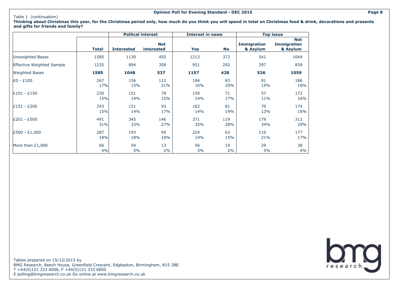#### Table 1 (continuation)

**Thinking about Christmas this year, for the Christmas period only, how much do you think you will spend in total on Christmas food & drink, decorations and presents and gifts for friends and family?**

|                           |              | <b>Politcal interest</b> |                          | <b>Interest in news</b> |           |                                | <b>Top issue</b>                             |
|---------------------------|--------------|--------------------------|--------------------------|-------------------------|-----------|--------------------------------|----------------------------------------------|
|                           | <b>Total</b> | <b>Interested</b>        | <b>Not</b><br>interested | Yes                     | <b>No</b> | <b>Immigration</b><br>& Asylum | <b>Not</b><br><b>Immigration</b><br>& Asylum |
| Unweighted Bases          | 1585         | 1130                     | 455                      | 1213                    | 372       | 541                            | 1044                                         |
| Effective Weighted Sample | 1235         | 894                      | 358                      | 951                     | 292       | 397                            | 839                                          |
| <b>Weighted Bases</b>     | 1585         | 1048                     | 537                      | 1157                    | 428       | 526                            | 1059                                         |
| $E0 - E100$               | 267          | 156                      | 112                      | 184                     | 83        | 81                             | 186                                          |
|                           | 17%          | 15%                      | 21%                      | 16%                     | 20%       | 15%                            | 18%                                          |
| $£101 - £150$             | 230          | 151                      | 79                       | 159                     | 71        | 57                             | 172                                          |
|                           | 15%          | 14%                      | 15%                      | 14%                     | 17%       | 11%                            | 16%                                          |
| $£151 - £200$             | 243          | 151                      | 93                       | 162                     | 81        | 70                             | 174                                          |
|                           | 15%          | 14%                      | 17%                      | 14%                     | 19%       | 13%                            | 16%                                          |
| £201 - £500               | 491          | 345                      | 146                      | 371                     | 119       | 179                            | 312                                          |
|                           | 31%          | 33%                      | 27%                      | 32%                     | 28%       | 34%                            | 29%                                          |
| $E500 - E1,000$           | 287          | 193                      | 95                       | 224                     | 63        | 110                            | 177                                          |
|                           | 18%          | 18%                      | 18%                      | 19%                     | 15%       | 21%                            | 17%                                          |
| More than $£1,000$        | 66           | 54                       | 13                       | 56                      | 10        | 29                             | 38                                           |
|                           | 4%           | 5%                       | 2%                       | 5%                      | 2%        | 5%                             | 4%                                           |

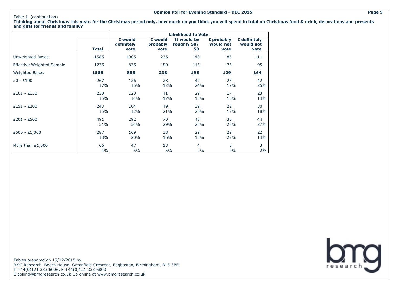#### Table 1 (continuation)

**Thinking about Christmas this year, for the Christmas period only, how much do you think you will spend in total on Christmas food & drink, decorations and presents and gifts for friends and family?**

|                                  |              |                               |                             | <b>Likelihood to Vote</b>        |                                 |                                   |
|----------------------------------|--------------|-------------------------------|-----------------------------|----------------------------------|---------------------------------|-----------------------------------|
|                                  | <b>Total</b> | I would<br>definitely<br>vote | I would<br>probably<br>vote | It would be<br>roughly 50/<br>50 | I probably<br>would not<br>vote | I definitely<br>would not<br>vote |
| Unweighted Bases                 | 1585         | 1005                          | 236                         | 148                              | 85                              | 111                               |
| <b>Effective Weighted Sample</b> | 1235         | 835                           | 180                         | 115                              | 75                              | 95                                |
| <b>Weighted Bases</b>            | 1585         | 858                           | 238                         | 195                              | 129                             | 164                               |
| $E0 - E100$                      | 267          | 126                           | 28                          | 47                               | 25                              | 42                                |
|                                  | 17%          | 15%                           | 12%                         | 24%                              | 19%                             | 25%                               |
| $E101 - E150$                    | 230          | 120                           | 41                          | 29                               | 17                              | 23                                |
|                                  | 15%          | 14%                           | 17%                         | 15%                              | 13%                             | 14%                               |
| £151 - £200                      | 243          | 104                           | 49                          | 39                               | 22                              | 30                                |
|                                  | 15%          | 12%                           | 21%                         | 20%                              | 17%                             | 18%                               |
| £201 - £500                      | 491          | 292                           | 70                          | 48                               | 36                              | 44                                |
|                                  | 31%          | 34%                           | 29%                         | 25%                              | 28%                             | 27%                               |
| £500 - £1,000                    | 287          | 169                           | 38                          | 29                               | 29                              | 22                                |
|                                  | 18%          | 20%                           | 16%                         | 15%                              | 22%                             | 14%                               |
| More than £1,000                 | 66           | 47                            | 13                          | $\overline{4}$                   | $\mathbf{0}$                    | 3                                 |
|                                  | 4%           | 5%                            | 5%                          | 2%                               | $0\%$                           | 2%                                |

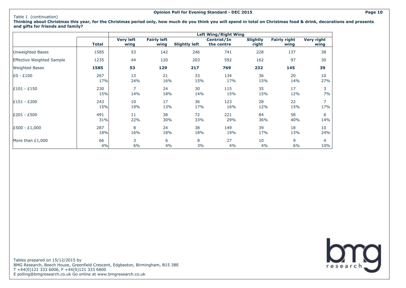#### Table 1 (continuation)

**Thinking about Christmas this year, for the Christmas period only, how much do you think you will spend in total on Christmas food & drink, decorations and presents and gifts for friends and family?**

|                           |              |                          |                            |                      | <b>Left Wing/Right Wing</b> |                          |                             |                           |
|---------------------------|--------------|--------------------------|----------------------------|----------------------|-----------------------------|--------------------------|-----------------------------|---------------------------|
|                           | <b>Total</b> | <b>Very left</b><br>wing | <b>Fairly left</b><br>wing | <b>Slightly left</b> | Centrist/In<br>the centre   | <b>Slightly</b><br>right | <b>Fairly right</b><br>wing | <b>Very right</b><br>wing |
| <b>Unweighted Bases</b>   | 1585         | 53                       | 142                        | 246                  | 741                         | 228                      | 137                         | 38                        |
| Effective Weighted Sample | 1235         | 44                       | 120                        | 203                  | 592                         | 162                      | 97                          | 30                        |
| <b>Weighted Bases</b>     | 1585         | 53                       | 129                        | 217                  | 769                         | 232                      | 145                         | 39                        |
| $E0 - E100$               | 267          | 13                       | 21                         | 33                   | 134                         | 36                       | 20                          | 10                        |
|                           | 17%          | 24%                      | 16%                        | 15%                  | 17%                         | 15%                      | 14%                         | 27%                       |
| $£101 - £150$             | 230          | $\overline{7}$           | 24                         | 30                   | 115                         | 35                       | 17                          | 3                         |
|                           | 15%          | 14%                      | 18%                        | 14%                  | 15%                         | 15%                      | 12%                         | 7%                        |
| $E151 - E200$             | 243          | 10                       | 17                         | 36                   | 123                         | 28                       | 22                          | $\overline{7}$            |
|                           | 15%          | 19%                      | 13%                        | 17%                  | 16%                         | 12%                      | 15%                         | 17%                       |
| £201 - £500               | 491          | 11                       | 38                         | 72                   | 221                         | 84                       | 58                          | 6                         |
|                           | 31%          | 22%                      | 30%                        | 33%                  | 29%                         | 36%                      | 40%                         | 14%                       |
| £500 - £1,000             | 287          | 8                        | 24                         | 38                   | 149                         | 39                       | 18                          | 10                        |
|                           | 18%          | 16%                      | 18%                        | 18%                  | 19%                         | 17%                      | 13%                         | 24%                       |
| More than $£1,000$        | 66           | 3                        | 6                          | 8                    | 27                          | 10                       | 9                           | 4                         |
|                           | 4%           | 6%                       | 4%                         | 3%                   | 4%                          | 4%                       | 6%                          | 10%                       |

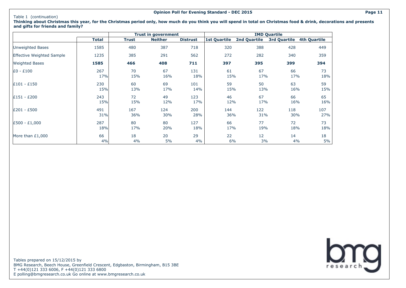#### Table 1 (continuation)

**Trust in government IMD Quartile Total Trust Neither Distrust 1st Quartile 2nd Quartile 3rd Quartile 4th Quartile** Unweighted Bases 1585 480 387 718 320 388 428 449 Effective Weighted Sample 1235 385 291 562 272 282 340 359 Weighted Bases **1585 466 408 711 397 395 399 394** £0 - £100 267 70 67 131 61 67 66 73  $17\%$  15% 16% 18% 17% 17% 17% 18% £101 - £150 230 60 69 101 59 50 63 59 15% 13% 17% 14% 15% 13% 16% 15% £151 - £200 243 72 49 123 46 67 66 65 15% 15% 12% 17% 12% 17% 16% 16% £201 - £500 491 167 124 200 144 122 118 107  $31\%$  36% 30% 28% 36% 31% 30% 27% £500 - £1,000 287 80 80 127 66 77 72 73 18% 17% 20% 18% 17% 19% 18% 18% More than £1,000 18 18 18 18 20 29 22 12 14 18 4% 4% 5% 4% 6% 3% 4% 5%

**Thinking about Christmas this year, for the Christmas period only, how much do you think you will spend in total on Christmas food & drink, decorations and presents and gifts for friends and family?**

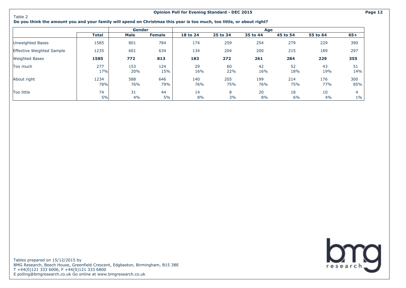Table 2

#### **Opinion Poll for Evening Standard - DEC 2015 Page 12**

#### **Do you think the amount you and your family will spend on Christmas this year is too much, too little, or about right?**

|                           |              | <b>Gender</b> |               |            |            | Age        |            |            |            |
|---------------------------|--------------|---------------|---------------|------------|------------|------------|------------|------------|------------|
|                           | <b>Total</b> | Male          | <b>Female</b> | 18 to 24   | 25 to 34   | 35 to 44   | 45 to 54   | 55 to 64   | $65+$      |
| Unweighted Bases          | 1585         | 801           | 784           | 174        | 259        | 254        | 279        | 229        | 390        |
| Effective Weighted Sample | 1235         | 601           | 634           | 134        | 204        | 200        | 215        | 189        | 297        |
| <b>Weighted Bases</b>     | 1585         | 772           | 813           | 183        | 272        | 261        | 284        | 229        | 355        |
| Too much                  | 277<br>17%   | 153<br>20%    | 124<br>15%    | 29<br>16%  | 60<br>22%  | 42<br>16%  | 52<br>18%  | 43<br>19%  | 51<br>14%  |
| About right               | 1234<br>78%  | 588<br>76%    | 646<br>79%    | 140<br>76% | 205<br>75% | 199<br>76% | 214<br>75% | 176<br>77% | 300<br>85% |
| Too little                | 74<br>5%     | 31<br>4%      | 44<br>5%      | 14<br>8%   | 8<br>3%    | 20<br>8%   | 18<br>6%   | 10<br>4%   | 4<br>$1\%$ |

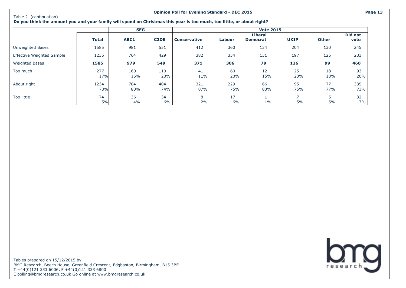#### **Opinion Poll for Evening Standard - DEC 2015 Page 13**

**Do you think the amount you and your family will spend on Christmas this year is too much, too little, or about right?**

|                           |             | <b>SEG</b> |                   |                     |            | <b>Vote 2015</b>                  |             |              |                 |
|---------------------------|-------------|------------|-------------------|---------------------|------------|-----------------------------------|-------------|--------------|-----------------|
|                           | Total       | ABC1       | C <sub>2</sub> DE | <b>Conservative</b> | Labour     | <b>Liberal</b><br><b>Democrat</b> | <b>UKIP</b> | <b>Other</b> | Did not<br>vote |
|                           |             |            |                   |                     |            |                                   |             |              |                 |
| Unweighted Bases          | 1585        | 981        | 551               | 412                 | 360        | 134                               | 204         | 130          | 245             |
| Effective Weighted Sample | 1235        | 764        | 429               | 382                 | 334        | 131                               | 197         | 125          | 233             |
| <b>Weighted Bases</b>     | 1585        | 979        | 549               | 371                 | 306        | 79                                | 126         | 99           | 460             |
| Too much                  | 277<br>17%  | 160<br>16% | 110<br>20%        | 41<br>11%           | 60<br>20%  | 12<br>15%                         | 25<br>20%   | 18<br>18%    | 93<br>20%       |
|                           |             |            |                   |                     |            |                                   |             |              |                 |
| About right               | 1234<br>78% | 784<br>80% | 404<br>74%        | 321<br>87%          | 229<br>75% | 66<br>83%                         | 95<br>75%   | 77<br>77%    | 335<br>73%      |
| Too little                | 74          | 36         | 34                | 8                   | 17         |                                   | ⊸           |              | 32              |
|                           | 5%          | 4%         | 6%                | 2%                  | 6%         | $1\%$                             | 5%          | 5%           | 7%              |

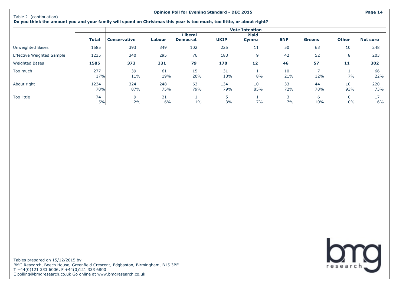#### **Opinion Poll for Evening Standard - DEC 2015 Page 14**

**Do you think the amount you and your family will spend on Christmas this year is too much, too little, or about right?**

|                           |             |                     |            |                                   |             | <b>Vote Intention</b> |                                |               |                    |                 |
|---------------------------|-------------|---------------------|------------|-----------------------------------|-------------|-----------------------|--------------------------------|---------------|--------------------|-----------------|
|                           | Total       | <b>Conservative</b> | Labour     | <b>Liberal</b><br><b>Democrat</b> | <b>UKIP</b> | <b>Plaid</b><br>Cymru | <b>SNP</b>                     | <b>Greens</b> | <b>Other</b>       | <b>Not sure</b> |
| Unweighted Bases          | 1585        | 393                 | 349        | 102                               | 225         | 11                    | 50                             | 63            | 10                 | 248             |
| Effective Weighted Sample | 1235        | 340                 | 295        | 76                                | 183         | 9                     | 42                             | 52            | 8                  | 203             |
| <b>Weighted Bases</b>     | 1585        | 373                 | 331        | 79                                | 170         | 12                    | 46                             | 57            | 11                 | 302             |
| Too much                  | 277<br>17%  | 39<br>11%           | 61<br>19%  | 15<br>20%                         | 31<br>18%   | 8%                    | 10<br>21%                      | 12%           | 7%                 | 66<br>22%       |
| About right               | 1234<br>78% | 324<br>87%          | 248<br>75% | 63<br>79%                         | 134<br>79%  | 10<br>85%             | 33<br>72%                      | 44<br>78%     | 10<br>93%          | 220<br>73%      |
| Too little                | 74<br>5%    | 9<br>2%             | 21<br>6%   | $1\%$                             | 5<br>3%     | 7%                    | $\overline{\phantom{0}}$<br>7% | 6<br>10%      | $\mathbf{0}$<br>0% | 17<br>6%        |

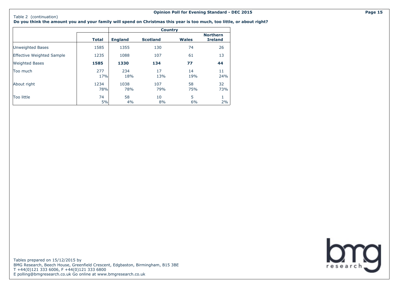#### Table 2 (continuation)

**Do you think the amount you and your family will spend on Christmas this year is too much, too little, or about right?**

|                                  |              |                | <b>Country</b>  |              |                                   |
|----------------------------------|--------------|----------------|-----------------|--------------|-----------------------------------|
|                                  | <b>Total</b> | <b>England</b> | <b>Scotland</b> | <b>Wales</b> | <b>Northern</b><br><b>Ireland</b> |
| Unweighted Bases                 | 1585         | 1355           | 130             | 74           | 26                                |
| <b>Effective Weighted Sample</b> | 1235         | 1088           | 107             | 61           | 13                                |
| <b>Weighted Bases</b>            | 1585         | 1330           | 134             | 77           | 44                                |
| Too much                         | 277<br>17%   | 234<br>18%     | 17<br>13%       | 14<br>19%    | 11<br>24%                         |
| About right                      | 1234<br>78%  | 1038<br>78%    | 107<br>79%      | 58<br>75%    | 32<br>73%                         |
| Too little                       | 74<br>5%     | 58<br>4%       | 10<br>8%        | 5<br>6%      | 1<br>2%                           |

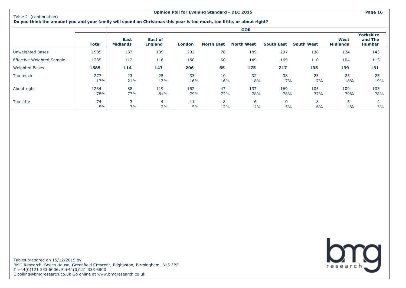#### **Opinion Poll for Evening Standard - DEC 2015 Page 16**

**Do you think the amount you and your family will spend on Christmas this year is too much, too little, or about right?**

|                           |              |                                |                                  |               |                   | <b>GOR</b>        |                   |                   |                         |                                              |
|---------------------------|--------------|--------------------------------|----------------------------------|---------------|-------------------|-------------------|-------------------|-------------------|-------------------------|----------------------------------------------|
|                           | <b>Total</b> | <b>East</b><br><b>Midlands</b> | <b>East of</b><br><b>England</b> | <b>London</b> | <b>North East</b> | <b>North West</b> | <b>South East</b> | <b>South West</b> | West<br><b>Midlands</b> | <b>Yorkshire</b><br>and The<br><b>Humber</b> |
| Unweighted Bases          | 1585         | 137                            | 139                              | 202           | 76                | 189               | 207               | 138               | 124                     | 143                                          |
| Effective Weighted Sample | 1235         | 112                            | 116                              | 158           | 60                | 149               | 169               | 110               | 104                     | 115                                          |
| <b>Weighted Bases</b>     | 1585         | 114                            | 147                              | 206           | 65                | 175               | 217               | 135               | 139                     | 131                                          |
| Too much                  | 277<br>17%   | 23<br>21%                      | 25<br>17%                        | 33<br>16%     | 10<br>16%         | 32<br>18%         | 38<br>17%         | 23<br>17%         | 25<br>18%               | 25<br>19%                                    |
| About right               | 1234<br>78%  | 88<br>77%                      | 119<br>81%                       | 162<br>79%    | 47<br>72%         | 137<br>78%        | 169<br>78%        | 105<br>77%        | 109<br>79%              | 103<br>78%                                   |
| Too little                | 74<br>5%     | 3<br>3%                        | 4<br>2%                          | 11<br>5%      | 8<br>12%          | 6<br>4%           | 10<br>5%          | 8<br>6%           | 4%                      | 4<br>3%                                      |

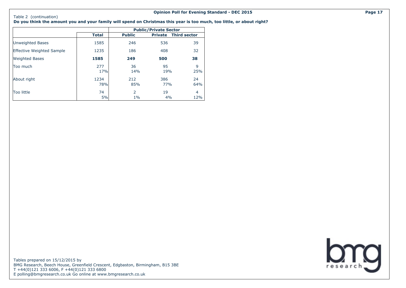#### Table 2 (continuation) **Do you think the amount you and your family will spend on Christmas this year is too much, too little, or about right?**

|                                  |              |               | <b>Public/Private Sector</b> |                     |
|----------------------------------|--------------|---------------|------------------------------|---------------------|
|                                  | <b>Total</b> | <b>Public</b> | <b>Private</b>               | <b>Third sector</b> |
| Unweighted Bases                 | 1585         | 246           | 536                          | 39                  |
| <b>Effective Weighted Sample</b> | 1235         | 186           | 408                          | 32                  |
| <b>Weighted Bases</b>            | 1585         | 249           | 500                          | 38                  |
| Too much                         | 277<br>17%   | 36<br>14%     | 95<br>19%                    | 9<br>25%            |
| About right                      | 1234<br>78%  | 212<br>85%    | 386<br>77%                   | 24<br>64%           |
| Too little                       | 74<br>5%     | 2<br>$1\%$    | 19<br>4%                     | 4<br>12%            |

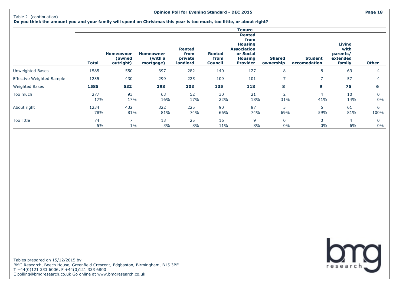#### Table 2 (continuation)

**Do you think the amount you and your family will spend on Christmas this year is too much, too little, or about right?**

|                           |              |                                         |                                          |                                              |                                         | <b>Tenure</b>                                                                                                   |                            |                                |                                                  |                   |
|---------------------------|--------------|-----------------------------------------|------------------------------------------|----------------------------------------------|-----------------------------------------|-----------------------------------------------------------------------------------------------------------------|----------------------------|--------------------------------|--------------------------------------------------|-------------------|
|                           | <b>Total</b> | <b>Homeowner</b><br>owned)<br>outright) | <b>Homeowner</b><br>(with a<br>mortgage) | <b>Rented</b><br>from<br>private<br>landlord | <b>Rented</b><br>from<br><b>Council</b> | <b>Rented</b><br>from<br><b>Housing</b><br><b>Association</b><br>or Social<br><b>Housing</b><br><b>Provider</b> | <b>Shared</b><br>ownership | <b>Student</b><br>accomodation | Living<br>with<br>parents/<br>extended<br>family | <b>Other</b>      |
| Unweighted Bases          | 1585         | 550                                     | 397                                      | 282                                          | 140                                     | 127                                                                                                             | 8                          | 8                              | 69                                               | $\overline{4}$    |
| Effective Weighted Sample | 1235         | 430                                     | 299                                      | 225                                          | 109                                     | 101                                                                                                             | $\overline{7}$             |                                | 57                                               |                   |
| <b>Weighted Bases</b>     | 1585         | 532                                     | 398                                      | 303                                          | 135                                     | 118                                                                                                             | 8                          | 9                              | 75                                               | 6                 |
| Too much                  | 277<br>17%   | 93<br>17%                               | 63<br>16%                                | 52<br>17%                                    | 30<br>22%                               | 21<br>18%                                                                                                       | 2<br>31%                   | 4<br>41%                       | 10<br>14%                                        | $\Omega$<br>0%    |
| About right               | 1234<br>78%  | 432<br>81%                              | 322<br>81%                               | 225<br>74%                                   | 90<br>66%                               | 87<br>74%                                                                                                       | 5<br>69%                   | 6<br>59%                       | 61<br>81%                                        | 6<br>100%         |
| Too little                | 74<br>5%     | $\overline{\phantom{0}}$<br>$1\%$       | 13<br>3%                                 | 25<br>8%                                     | 16<br>11%                               | 9<br>8%                                                                                                         | $\mathbf 0$<br>0%          | 0<br>0%                        | 4<br>6%                                          | $\Omega$<br>$0\%$ |

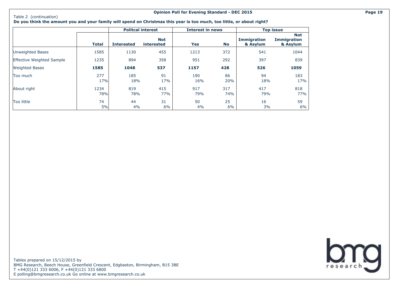#### **Opinion Poll for Evening Standard - DEC 2015 Page 19**

**Do you think the amount you and your family will spend on Christmas this year is too much, too little, or about right?**

|                                  |              |                   | <b>Politcal interest</b> | <b>Interest in news</b> |            |                                | <b>Top issue</b>                             |
|----------------------------------|--------------|-------------------|--------------------------|-------------------------|------------|--------------------------------|----------------------------------------------|
|                                  | <b>Total</b> | <b>Interested</b> | <b>Not</b><br>interested | Yes                     | No         | <b>Immigration</b><br>& Asylum | <b>Not</b><br><b>Immigration</b><br>& Asylum |
| Unweighted Bases                 | 1585         | 1130              | 455                      | 1213                    | 372        | 541                            | 1044                                         |
| <b>Effective Weighted Sample</b> | 1235         | 894               | 358                      | 951                     | 292        | 397                            | 839                                          |
| <b>Weighted Bases</b>            | 1585         | 1048              | 537                      | 1157                    | 428        | 526                            | 1059                                         |
| Too much                         | 277<br>17%   | 185<br>18%        | 91<br>17%                | 190<br>16%              | 86<br>20%  | 94<br>18%                      | 183<br>17%                                   |
| About right                      | 1234<br>78%  | 819<br>78%        | 415<br>77%               | 917<br>79%              | 317<br>74% | 417<br>79%                     | 818<br>77%                                   |
| Too little                       | 74<br>5%     | 44<br>4%          | 31<br>6%                 | 50<br>4%                | 25<br>6%   | 16<br>3%                       | 59<br>6%                                     |

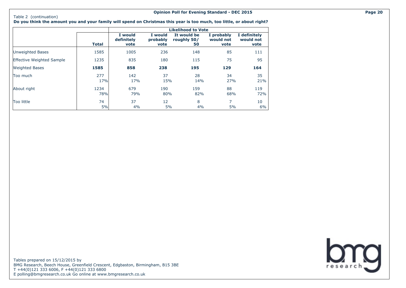#### Table 2 (continuation)

**Do you think the amount you and your family will spend on Christmas this year is too much, too little, or about right?**

|                                  |              |                               |                             | <b>Likelihood to Vote</b>        |                                 |                                   |
|----------------------------------|--------------|-------------------------------|-----------------------------|----------------------------------|---------------------------------|-----------------------------------|
|                                  | <b>Total</b> | I would<br>definitely<br>vote | I would<br>probably<br>vote | It would be<br>roughly 50/<br>50 | I probably<br>would not<br>vote | I definitely<br>would not<br>vote |
| Unweighted Bases                 | 1585         | 1005                          | 236                         | 148                              | 85                              | 111                               |
| <b>Effective Weighted Sample</b> | 1235         | 835                           | 180                         | 115                              | 75                              | 95                                |
| <b>Weighted Bases</b>            | 1585         | 858                           | 238                         | 195                              | 129                             | 164                               |
| Too much                         | 277<br>17%   | 142<br>17%                    | 37<br>15%                   | 28<br>14%                        | 34<br>27%                       | 35<br>21%                         |
| About right                      | 1234<br>78%  | 679<br>79%                    | 190<br>80%                  | 159<br>82%                       | 88<br>68%                       | 119<br>72%                        |
| Too little                       | 74<br>5%     | 37<br>4%                      | 12<br>5%                    | 8<br>4%                          | $\overline{7}$<br>5%            | 10<br>$6\%$                       |

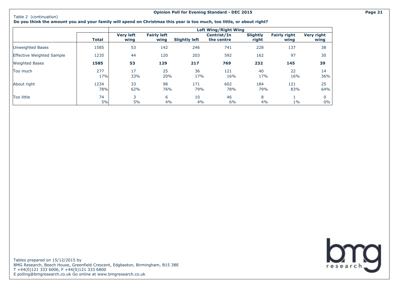#### **Opinion Poll for Evening Standard - DEC 2015 Page 21**

**Do you think the amount you and your family will spend on Christmas this year is too much, too little, or about right?**

|                                  |              |                          |                            |                      | <b>Left Wing/Right Wing</b> |                          |                             |                           |
|----------------------------------|--------------|--------------------------|----------------------------|----------------------|-----------------------------|--------------------------|-----------------------------|---------------------------|
|                                  | <b>Total</b> | <b>Very left</b><br>wing | <b>Fairly left</b><br>wing | <b>Slightly left</b> | Centrist/In<br>the centre   | <b>Slightly</b><br>right | <b>Fairly right</b><br>wing | <b>Very right</b><br>wing |
| Unweighted Bases                 | 1585         | 53                       | 142                        | 246                  | 741                         | 228                      | 137                         | 38                        |
| <b>Effective Weighted Sample</b> | 1235         | 44                       | 120                        | 203                  | 592                         | 162                      | 97                          | 30                        |
| <b>Weighted Bases</b>            | 1585         | 53                       | 129                        | 217                  | 769                         | 232                      | 145                         | 39                        |
| Too much                         | 277<br>17%   | 17<br>33%                | 25<br>20%                  | 36<br>17%            | 121<br>16%                  | 40<br>17%                | 22<br>16%                   | 14<br>36%                 |
| About right                      | 1234<br>78%  | 33<br>62%                | 98<br>76%                  | 171<br>79%           | 602<br>78%                  | 184<br>79%               | 121<br>83%                  | 25<br>64%                 |
| Too little                       | 74<br>5%     | 3<br>5%                  | 6<br>4%                    | 10<br>4%             | 46<br>6%                    | 8<br>4%                  | $1\%$                       | $\mathbf 0$<br>$0\%$      |

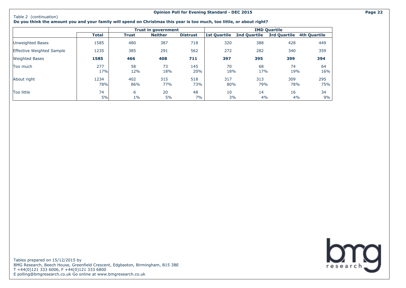#### **Opinion Poll for Evening Standard - DEC 2015 Page 22**

#### **Do you think the amount you and your family will spend on Christmas this year is too much, too little, or about right?**

|                           |              |            | <b>Trust in government</b> |                 |              |                     | <b>IMD Quartile</b> |              |
|---------------------------|--------------|------------|----------------------------|-----------------|--------------|---------------------|---------------------|--------------|
|                           | <b>Total</b> | Trust      | <b>Neither</b>             | <b>Distrust</b> | 1st Quartile | <b>2nd Quartile</b> | <b>3rd Quartile</b> | 4th Quartile |
| Unweighted Bases          | 1585         | 480        | 387                        | 718             | 320          | 388                 | 428                 | 449          |
| Effective Weighted Sample | 1235         | 385        | 291                        | 562             | 272          | 282                 | 340                 | 359          |
| <b>Weighted Bases</b>     | 1585         | 466        | 408                        | 711             | 397          | 395                 | 399                 | 394          |
| Too much                  | 277<br>17%   | 58<br>12%  | 73<br>18%                  | 145<br>20%      | 70<br>18%    | 68<br>17%           | 74<br>19%           | 64<br>16%    |
| About right               | 1234<br>78%  | 402<br>86% | 315<br>77%                 | 518<br>73%      | 317<br>80%   | 313<br>79%          | 309<br>78%          | 295<br>75%   |
| Too little                | 74<br>5%     | 6<br>$1\%$ | 20<br>5%                   | 48<br>7%        | 10<br>3%     | 14<br>4%            | 16<br>4%            | 34<br>9%     |

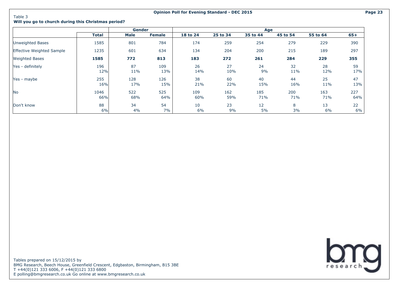Table 3

#### **Will you go to church during this Christmas period?**

|                           |             | <b>Gender</b> |               |            |            | Age                     |            |            |             |
|---------------------------|-------------|---------------|---------------|------------|------------|-------------------------|------------|------------|-------------|
|                           | Total       | Male          | <b>Female</b> | 18 to 24   | 25 to 34   | 35 to 44                | 45 to 54   | 55 to 64   | 65+         |
| Unweighted Bases          | 1585        | 801           | 784           | 174        | 259        | 254                     | 279        | 229        | 390         |
| Effective Weighted Sample | 1235        | 601           | 634           | 134        | 204        | 200                     | 215        | 189        | 297         |
| <b>Weighted Bases</b>     | 1585        | 772           | 813           | 183        | 272        | 261                     | 284        | 229        | 355         |
| Yes - definitely          | 196<br>12%  | 87<br>11%     | 109<br>13%    | 26<br>14%  | 27<br>10%  | 24<br>9%                | 32<br>11%  | 28<br>12%  | 59<br>17%   |
| Yes - maybe               | 255<br>16%  | 128<br>17%    | 126<br>15%    | 38<br>21%  | 60<br>22%  | 40<br>15%               | 44<br>16%  | 25<br>11%  | 47<br>13%   |
| <b>No</b>                 | 1046<br>66% | 522<br>68%    | 525<br>64%    | 109<br>60% | 162<br>59% | 185<br>71%              | 200<br>71% | 163<br>71% | 227<br>64%  |
| Don't know                | 88<br>6%    | 34<br>4%      | 54<br>7%      | 10<br>6%   | 23<br>9%   | $12 \overline{ }$<br>5% | 8<br>3%    | 13<br>6%   | 22<br>$6\%$ |

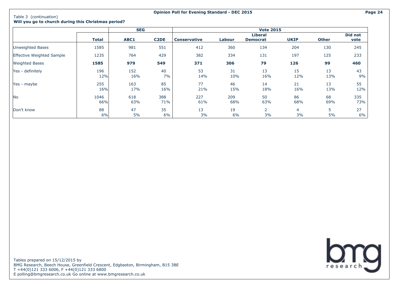### Table 3 (continuation)

**Will you go to church during this Christmas period?**

|                           | <b>SEG</b>   |      |                   | <b>Vote 2015</b>    |        |                 |             |              |         |
|---------------------------|--------------|------|-------------------|---------------------|--------|-----------------|-------------|--------------|---------|
|                           |              |      |                   |                     |        | <b>Liberal</b>  |             |              | Did not |
|                           | <b>Total</b> | ABC1 | C <sub>2</sub> DE | <b>Conservative</b> | Labour | <b>Democrat</b> | <b>UKIP</b> | <b>Other</b> | vote    |
| <b>Unweighted Bases</b>   | 1585         | 981  | 551               | 412                 | 360    | 134             | 204         | 130          | 245     |
| Effective Weighted Sample | 1235         | 764  | 429               | 382                 | 334    | 131             | 197         | 125          | 233     |
| <b>Weighted Bases</b>     | 1585         | 979  | 549               | 371                 | 306    | 79              | 126         | 99           | 460     |
| Yes - definitely          | 196          | 152  | 40                | 53                  | 31     | 13              | 15          | 13           | 43      |
|                           | 12%          | 16%  | 7%                | 14%                 | 10%    | 16%             | 12%         | 13%          | 9%      |
| Yes - maybe               | 255          | 163  | 85                | 77                  | 46     | 14              | 21          | 13           | 55      |
|                           | 16%          | 17%  | 16%               | 21%                 | 15%    | 18%             | 16%         | 13%          | 12%     |
| N <sub>o</sub>            | 1046         | 618  | 388               | 227                 | 209    | 50              | 86          | 68           | 335     |
|                           | 66%          | 63%  | 71%               | 61%                 | 68%    | 63%             | 68%         | 69%          | 73%     |
| Don't know                | 88           | 47   | 35                | 13                  | 19     | $\overline{2}$  | 4           | 5            | 27      |
|                           | 6%           | 5%   | 6%                | 3%                  | 6%     | 3%              | 3%          | 5%           | 6%      |

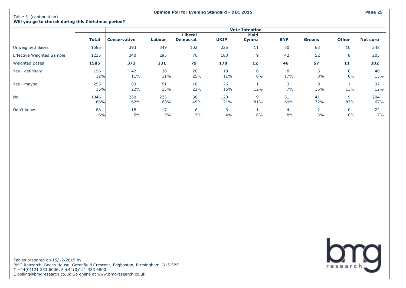#### **Will you go to church during this Christmas period?**

|                                  |       |                     |        |                 |             | <b>Vote Intention</b> |            |                |              |                 |
|----------------------------------|-------|---------------------|--------|-----------------|-------------|-----------------------|------------|----------------|--------------|-----------------|
|                                  |       |                     |        | <b>Liberal</b>  |             | <b>Plaid</b>          |            |                |              |                 |
|                                  | Total | <b>Conservative</b> | Labour | <b>Democrat</b> | <b>UKIP</b> | Cymru                 | <b>SNP</b> | <b>Greens</b>  | <b>Other</b> | <b>Not sure</b> |
| Unweighted Bases                 | 1585  | 393                 | 349    | 102             | 225         | 11                    | 50         | 63             | 10           | 248             |
| <b>Effective Weighted Sample</b> | 1235  | 340                 | 295    | 76              | 183         | 9                     | 42         | 52             | 8            | 203             |
| <b>Weighted Bases</b>            | 1585  | 373                 | 331    | 79              | 170         | 12                    | 46         | 57             | 11           | 302             |
| Yes - definitely                 | 196   | 42                  | 38     | 20              | 18          | 0                     | 8          | ь              | $\Omega$     | 40              |
|                                  | 12%   | 11%                 | 11%    | 25%             | 11%         | 0%                    | 17%        | 8%             | 0%           | 13%             |
| Yes - maybe                      | 255   | 83                  | 51     | 18              | 26          |                       | 3          | 9              |              | 37              |
|                                  | 16%   | 22%                 | 15%    | 22%             | 15%         | 12%                   | 7%         | 16%            | 13%          | 12%             |
| No                               | 1046  | 230                 | 225    | 36              | 120         | 9                     | 31         | 41             | 9            | 204             |
|                                  | 66%   | 62%                 | 68%    | 45%             | 71%         | 81%                   | 69%        | 72%            | 87%          | 67%             |
| Don't know                       | 88    | 18                  | 17     | 6               | 6           |                       | 4          | $\overline{2}$ | $\Omega$     | 22              |
|                                  | 6%    | 5%                  | 5%     | 7%              | 4%          | 6%                    | 8%         | 3%             | 0%           | 7%              |

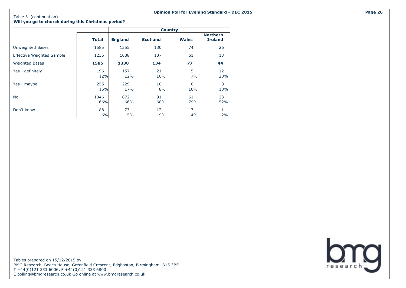**Will you go to church during this Christmas period?**

|                                  |              | <b>Country</b> |                 |              |                                   |  |  |  |
|----------------------------------|--------------|----------------|-----------------|--------------|-----------------------------------|--|--|--|
|                                  | <b>Total</b> | <b>England</b> | <b>Scotland</b> | <b>Wales</b> | <b>Northern</b><br><b>Ireland</b> |  |  |  |
| <b>Unweighted Bases</b>          | 1585         | 1355           | 130             | 74           | 26                                |  |  |  |
| <b>Effective Weighted Sample</b> | 1235         | 1088           | 107             | 61           | 13                                |  |  |  |
| <b>Weighted Bases</b>            | 1585         | 1330           | 134             | 77           | 44                                |  |  |  |
| Yes - definitely                 | 196<br>12%   | 157<br>12%     | 21<br>16%       | 5<br>7%      | 12<br>28%                         |  |  |  |
| Yes - maybe                      | 255<br>16%   | 229<br>17%     | 10<br>8%        | 8<br>10%     | 8<br>18%                          |  |  |  |
| No                               | 1046<br>66%  | 872<br>66%     | 91<br>68%       | 61<br>79%    | 23<br>52%                         |  |  |  |
| Don't know                       | 88<br>6%     | 73<br>5%       | 12<br>9%        | 3<br>4%      | 1<br>2%                           |  |  |  |

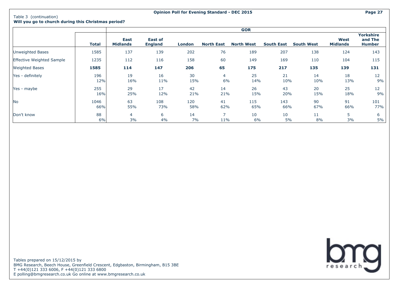#### **Will you go to church during this Christmas period?**

|                                  |              | <b>GOR</b>                     |                                  |            |                                 |                   |                   |                   |                                |                                              |
|----------------------------------|--------------|--------------------------------|----------------------------------|------------|---------------------------------|-------------------|-------------------|-------------------|--------------------------------|----------------------------------------------|
|                                  | <b>Total</b> | <b>East</b><br><b>Midlands</b> | <b>East of</b><br><b>England</b> | London     | <b>North East</b>               | <b>North West</b> | <b>South East</b> | <b>South West</b> | <b>West</b><br><b>Midlands</b> | <b>Yorkshire</b><br>and The<br><b>Humber</b> |
| Unweighted Bases                 | 1585         | 137                            | 139                              | 202        | 76                              | 189               | 207               | 138               | 124                            | 143                                          |
| <b>Effective Weighted Sample</b> | 1235         | 112                            | 116                              | 158        | 60                              | 149               | 169               | 110               | 104                            | 115                                          |
| <b>Weighted Bases</b>            | 1585         | 114                            | 147                              | 206        | 65                              | 175               | 217               | 135               | 139                            | 131                                          |
| Yes - definitely                 | 196<br>12%   | 19<br>16%                      | 16<br>11%                        | 30<br>15%  | $\overline{4}$<br>6%            | 25<br>14%         | 21<br>10%         | 14<br>10%         | 18<br>13%                      | 12<br>9%                                     |
| Yes - maybe                      | 255<br>16%   | 29<br>25%                      | 17<br>12%                        | 42<br>21%  | 14<br>21%                       | 26<br>15%         | 43<br>20%         | 20<br>15%         | 25<br>18%                      | 12<br>9%                                     |
| N <sub>o</sub>                   | 1046<br>66%  | 63<br>55%                      | 108<br>73%                       | 120<br>58% | 41<br>62%                       | 115<br>65%        | 143<br>66%        | 90<br>67%         | 91<br>66%                      | 101<br>77%                                   |
| Don't know                       | 88<br>6%     | $\overline{4}$<br>3%           | 6<br>4%                          | 14<br>7%   | $\overline{\phantom{1}}$<br>11% | 10<br>6%          | 10<br>5%          | 11<br>8%          | 5<br>3%                        | 6<br>5%                                      |

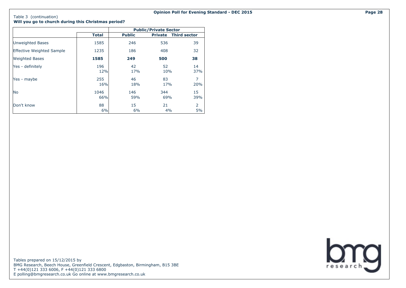**Will you go to church during this Christmas period?**

|                                  |              | <b>Public/Private Sector</b> |            |                             |  |  |  |
|----------------------------------|--------------|------------------------------|------------|-----------------------------|--|--|--|
|                                  | <b>Total</b> | <b>Public</b>                |            | <b>Private Third sector</b> |  |  |  |
| Unweighted Bases                 | 1585         | 246                          | 536        | 39                          |  |  |  |
| <b>Effective Weighted Sample</b> | 1235         | 186                          | 408        | 32                          |  |  |  |
| <b>Weighted Bases</b>            | 1585         | 249                          | 500        | 38                          |  |  |  |
| Yes - definitely                 | 196<br>12%   | 42<br>17%                    | 52<br>10%  | 14<br>37%                   |  |  |  |
| Yes - maybe                      | 255<br>16%   | 46<br>18%                    | 83<br>17%  | $\overline{7}$<br>20%       |  |  |  |
| <b>No</b>                        | 1046<br>66%  | 146<br>59%                   | 344<br>69% | 15<br>39%                   |  |  |  |
| Don't know                       | 88<br>6%     | 15<br>6%                     | 21<br>4%   | 2<br>5%                     |  |  |  |

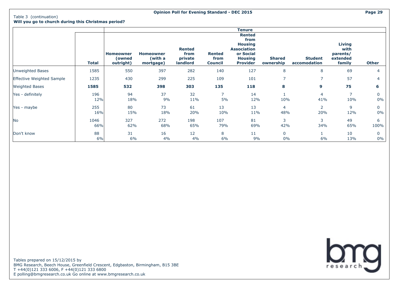**Will you go to church during this Christmas period?**

|                           | <b>Total</b> | <b>Homeowner</b><br>(owned<br>outright) | <b>Homeowner</b><br>(with a<br>mortgage) | <b>Rented</b><br>from<br>private<br>landlord | <b>Rented</b><br>from<br><b>Council</b> | <b>Tenure</b><br><b>Rented</b><br>from<br><b>Housing</b><br><b>Association</b><br>or Social<br><b>Housing</b><br><b>Provider</b> | <b>Shared</b><br>ownership | <b>Student</b><br>accomodation | <b>Living</b><br>with<br>parents/<br>extended<br>family | <b>Other</b> |
|---------------------------|--------------|-----------------------------------------|------------------------------------------|----------------------------------------------|-----------------------------------------|----------------------------------------------------------------------------------------------------------------------------------|----------------------------|--------------------------------|---------------------------------------------------------|--------------|
| Unweighted Bases          | 1585         | 550                                     | 397                                      | 282                                          | 140                                     | 127                                                                                                                              | 8                          | 8                              | 69                                                      | 4            |
| Effective Weighted Sample | 1235         | 430                                     | 299                                      | 225                                          | 109                                     | 101                                                                                                                              | $\overline{7}$             | 7                              | 57                                                      | 4            |
| <b>Weighted Bases</b>     | 1585         | 532                                     | 398                                      | 303                                          | 135                                     | 118                                                                                                                              | 8                          | 9                              | 75                                                      | 6            |
| Yes - definitely          | 196<br>12%   | 94<br>18%                               | 37<br>9%                                 | 32<br>11%                                    | 7<br>5%                                 | 14<br>12%                                                                                                                        | 10%                        | 4<br>41%                       | 10%                                                     | 0<br>0%      |
| Yes - maybe               | 255<br>16%   | 80<br>15%                               | 73<br>18%                                | 61<br>20%                                    | 13<br>10%                               | 13<br>11%                                                                                                                        | 4<br>48%                   | $\mathbf{2}^{\prime}$<br>20%   | 9<br>12%                                                | 0<br>0%      |
| No                        | 1046<br>66%  | 327<br>62%                              | 272<br>68%                               | 198<br>65%                                   | 107<br>79%                              | 81<br>69%                                                                                                                        | 3<br>42%                   | 3<br>34%                       | 49<br>65%                                               | 6<br>100%    |
| Don't know                | 88<br>6%     | 31<br>6%                                | 16<br>4%                                 | 12<br>4%                                     | 8<br>6%                                 | 11<br>9%                                                                                                                         | $\mathbf 0$<br>0%          | 6%                             | 10<br>13%                                               | 0<br>$0\%$   |

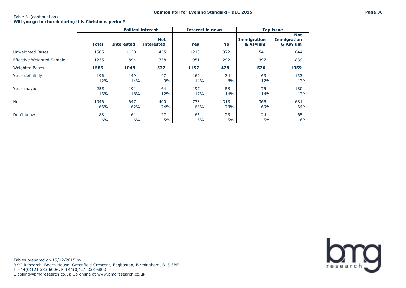#### Table 3 (continuation) **Will you go to church during this Christmas period?**

|                                  |             |                   | <b>Politcal interest</b>        | <b>Interest in news</b> |            |                                | <b>Top issue</b>                             |
|----------------------------------|-------------|-------------------|---------------------------------|-------------------------|------------|--------------------------------|----------------------------------------------|
|                                  | Total       | <b>Interested</b> | <b>Not</b><br><b>interested</b> | Yes                     | No         | <b>Immigration</b><br>& Asylum | <b>Not</b><br><b>Immigration</b><br>& Asylum |
| <b>Unweighted Bases</b>          | 1585        | 1130              | 455                             | 1213                    | 372        | 541                            | 1044                                         |
| <b>Effective Weighted Sample</b> | 1235        | 894               | 358                             | 951                     | 292        | 397                            | 839                                          |
| <b>Weighted Bases</b>            | 1585        | 1048              | 537                             | 1157                    | 428        | 526                            | 1059                                         |
| Yes - definitely                 | 196<br>12%  | 149<br>14%        | 47<br>9%                        | 162<br>14%              | 34<br>8%   | 63<br>12%                      | 133<br>13%                                   |
| Yes - maybe                      | 255<br>16%  | 191<br>18%        | 64<br>12%                       | 197<br>17%              | 58<br>14%  | 75<br>14%                      | 180<br>17%                                   |
| <b>No</b>                        | 1046<br>66% | 647<br>62%        | 400<br>74%                      | 733<br>63%              | 313<br>73% | 365<br>69%                     | 681<br>64%                                   |
| Don't know                       | 88<br>6%    | 61<br>6%          | 27<br>5%                        | 65<br>6%                | 23<br>5%   | 24<br>5%                       | 65<br>$6\%$                                  |

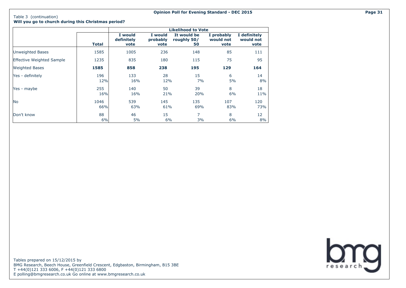**Will you go to church during this Christmas period?**

|                                  |              |                               |                             | <b>Likelihood to Vote</b>        |                                 |                                   |
|----------------------------------|--------------|-------------------------------|-----------------------------|----------------------------------|---------------------------------|-----------------------------------|
|                                  | <b>Total</b> | I would<br>definitely<br>vote | I would<br>probably<br>vote | It would be<br>roughly 50/<br>50 | I probably<br>would not<br>vote | I definitely<br>would not<br>vote |
| <b>Unweighted Bases</b>          | 1585         | 1005                          | 236                         | 148                              | 85                              | 111                               |
| <b>Effective Weighted Sample</b> | 1235         | 835                           | 180                         | 115                              | 75                              | 95                                |
| <b>Weighted Bases</b>            | 1585         | 858                           | 238                         | 195                              | 129                             | 164                               |
| Yes - definitely                 | 196<br>12%   | 133<br>16%                    | 28<br>12%                   | 15<br>7%                         | 6<br>5%                         | 14<br>8%                          |
| Yes - maybe                      | 255<br>16%   | 140<br>16%                    | 50<br>21%                   | 39<br>20%                        | 8<br>6%                         | 18<br>11%                         |
| lNo.                             | 1046<br>66%  | 539<br>63%                    | 145<br>61%                  | 135<br>69%                       | 107<br>83%                      | 120<br>73%                        |
| Don't know                       | 88<br>6%     | 46<br>5%                      | 15<br>6%                    | 7<br>3%                          | 8<br>6%                         | 12<br>8%                          |

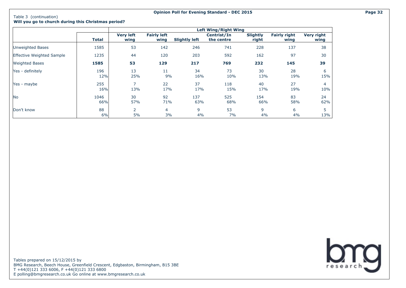**Will you go to church during this Christmas period?**

|                                  |              |                          |                            |                      | <b>Left Wing/Right Wing</b> |                          |                             |                           |
|----------------------------------|--------------|--------------------------|----------------------------|----------------------|-----------------------------|--------------------------|-----------------------------|---------------------------|
|                                  | <b>Total</b> | <b>Very left</b><br>wing | <b>Fairly left</b><br>wing | <b>Slightly left</b> | Centrist/In<br>the centre   | <b>Slightly</b><br>right | <b>Fairly right</b><br>wing | <b>Very right</b><br>wing |
| Unweighted Bases                 | 1585         | 53                       | 142                        | 246                  | 741                         | 228                      | 137                         | 38                        |
| <b>Effective Weighted Sample</b> | 1235         | 44                       | 120                        | 203                  | 592                         | 162                      | 97                          | 30                        |
| <b>Weighted Bases</b>            | 1585         | 53                       | 129                        | 217                  | 769                         | 232                      | 145                         | 39                        |
| Yes - definitely                 | 196<br>12%   | 13<br>25%                | 11<br>9%                   | 34<br>16%            | 73<br>10%                   | 30<br>13%                | 28<br>19%                   | 6<br>15%                  |
| Yes - maybe                      | 255<br>16%   | 7<br>13%                 | 22<br>17%                  | 37<br>17%            | 118<br>15%                  | 40<br>17%                | 27<br>19%                   | 4<br>10%                  |
| <b>No</b>                        | 1046<br>66%  | 30<br>57%                | 92<br>71%                  | 137<br>63%           | 525<br>68%                  | 154<br>66%               | 83<br>58%                   | 24<br>62%                 |
| Don't know                       | 88<br>6%     | $\overline{2}$<br>5%     | $\overline{4}$<br>3%       | 9<br>4%              | 53<br>7%                    | 9<br>4%                  | 6<br>4%                     | 5<br>13%                  |

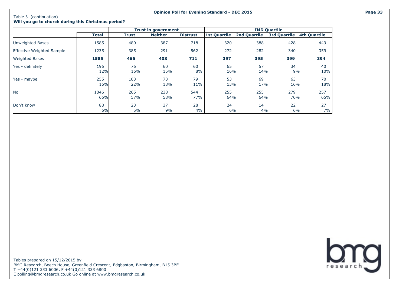Table 3 (continuation)

#### **Will you go to church during this Christmas period?**

|                                  |              |              | <b>Trust in government</b> |                 |                     |                     | <b>IMD Quartile</b> |                     |
|----------------------------------|--------------|--------------|----------------------------|-----------------|---------------------|---------------------|---------------------|---------------------|
|                                  | <b>Total</b> | <b>Trust</b> | <b>Neither</b>             | <b>Distrust</b> | <b>1st Quartile</b> | <b>2nd Quartile</b> | <b>3rd Quartile</b> | <b>4th Quartile</b> |
| Unweighted Bases                 | 1585         | 480          | 387                        | 718             | 320                 | 388                 | 428                 | 449                 |
| <b>Effective Weighted Sample</b> | 1235         | 385          | 291                        | 562             | 272                 | 282                 | 340                 | 359                 |
| <b>Weighted Bases</b>            | 1585         | 466          | 408                        | 711             | 397                 | 395                 | 399                 | 394                 |
| Yes - definitely                 | 196<br>12%   | 76<br>16%    | 60<br>15%                  | 60<br>8%        | 65<br>16%           | 57<br>14%           | 34<br>9%            | 40<br>10%           |
| Yes - maybe                      | 255<br>16%   | 103<br>22%   | 73<br>18%                  | 79<br>11%       | 53<br>13%           | 69<br>17%           | 63<br>16%           | 70<br>18%           |
| <b>No</b>                        | 1046<br>66%  | 265<br>57%   | 238<br>58%                 | 544<br>77%      | 255<br>64%          | 255<br>64%          | 279<br>70%          | 257<br>65%          |
| Don't know                       | 88<br>6%     | 23<br>5%     | 37<br>9%                   | 28<br>4%        | 24<br>6%            | 14<br>4%            | 22<br>6%            | 27<br>7%            |

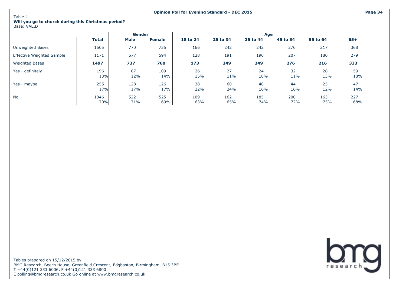#### Table 4 **Will you go to church during this Christmas period?** Base: VALID

|                                  |              | <b>Gender</b> |               |            |            | Age        |            |            |            |
|----------------------------------|--------------|---------------|---------------|------------|------------|------------|------------|------------|------------|
|                                  | <b>Total</b> | <b>Male</b>   | <b>Female</b> | 18 to 24   | 25 to 34   | 35 to 44   | 45 to 54   | 55 to 64   | $65+$      |
| Unweighted Bases                 | 1505         | 770           | 735           | 166        | 242        | 242        | 270        | 217        | 368        |
| <b>Effective Weighted Sample</b> | 1171         | 577           | 594           | 128        | 191        | 190        | 207        | 180        | 279        |
| <b>Weighted Bases</b>            | 1497         | 737           | 760           | 173        | 249        | 249        | 276        | 216        | 333        |
| Yes - definitely                 | 196<br>13%   | 87<br>12%     | 109<br>14%    | 26<br>15%  | 27<br>11%  | 24<br>10%  | 32<br>11%  | 28<br>13%  | 59<br>18%  |
| Yes - maybe                      | 255<br>17%   | 128<br>17%    | 126<br>17%    | 38<br>22%  | 60<br>24%  | 40<br>16%  | 44<br>16%  | 25<br>12%  | 47<br>14%  |
| <b>No</b>                        | 1046<br>70%  | 522<br>71%    | 525<br>69%    | 109<br>63% | 162<br>65% | 185<br>74% | 200<br>72% | 163<br>75% | 227<br>68% |

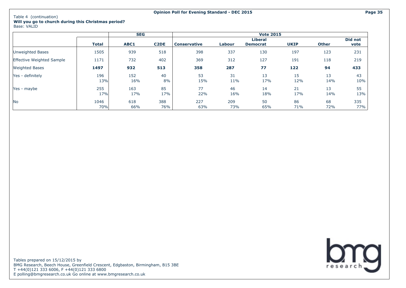#### Table 4 (continuation) **Will you go to church during this Christmas period?**

Base: VALID

|                                  |              | <b>SEG</b> |                   |                     |            | <b>Vote 2015</b> |             |              |            |
|----------------------------------|--------------|------------|-------------------|---------------------|------------|------------------|-------------|--------------|------------|
|                                  |              |            |                   |                     |            | Liberal          |             |              | Did not    |
|                                  | <b>Total</b> | ABC1       | C <sub>2</sub> DE | <b>Conservative</b> | Labour     | <b>Democrat</b>  | <b>UKIP</b> | <b>Other</b> | vote       |
| Unweighted Bases                 | 1505         | 939        | 518               | 398                 | 337        | 130              | 197         | 123          | 231        |
| <b>Effective Weighted Sample</b> | 1171         | 732        | 402               | 369                 | 312        | 127              | 191         | 118          | 219        |
| <b>Weighted Bases</b>            | 1497         | 932        | 513               | 358                 | 287        | 77               | 122         | 94           | 433        |
| Yes - definitely                 | 196<br>13%   | 152<br>16% | 40<br>8%          | 53<br>15%           | 31<br>11%  | 13<br>17%        | 15<br>12%   | 13<br>14%    | 43<br>10%  |
| Yes - maybe                      | 255<br>17%   | 163<br>17% | 85<br>17%         | 77<br>22%           | 46<br>16%  | 14<br>18%        | 21<br>17%   | 13<br>14%    | 55<br>13%  |
| <b>No</b>                        | 1046<br>70%  | 618<br>66% | 388<br>76%        | 227<br>63%          | 209<br>73% | 50<br>65%        | 86<br>71%   | 68<br>72%    | 335<br>77% |

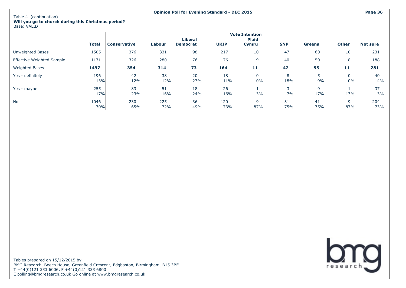|                                  |             |                     |            |                                   |             | <b>Vote Intention</b> |            |               |                   |                 |
|----------------------------------|-------------|---------------------|------------|-----------------------------------|-------------|-----------------------|------------|---------------|-------------------|-----------------|
|                                  | Total       | <b>Conservative</b> | Labour     | <b>Liberal</b><br><b>Democrat</b> | <b>UKIP</b> | <b>Plaid</b><br>Cymru | <b>SNP</b> | <b>Greens</b> | <b>Other</b>      | <b>Not sure</b> |
| Unweighted Bases                 | 1505        | 376                 | 331        | 98                                | 217         | 10                    | 47         | 60            | 10                | 231             |
| <b>Effective Weighted Sample</b> | 1171        | 326                 | 280        | 76                                | 176         | 9                     | 40         | 50            | 8                 | 188             |
| <b>Weighted Bases</b>            | 1497        | 354                 | 314        | 73                                | 164         | 11                    | 42         | 55            | 11                | 281             |
| Yes - definitely                 | 196<br>13%  | 42<br>12%           | 38<br>12%  | 20<br>27%                         | 18<br>11%   | 0<br>0%               | 8<br>18%   | 9%            | $\Omega$<br>$0\%$ | 40<br>14%       |
| Yes - maybe                      | 255<br>17%  | 83<br>23%           | 51<br>16%  | 18<br>24%                         | 26<br>16%   | 13%                   | 7%         | q<br>17%      | 13%               | 37<br>13%       |
| N <sub>o</sub>                   | 1046<br>70% | 230<br>65%          | 225<br>72% | 36<br>49%                         | 120<br>73%  | q<br>87%              | 31<br>75%  | 41<br>75%     | 9<br>87%          | 204<br>73%      |

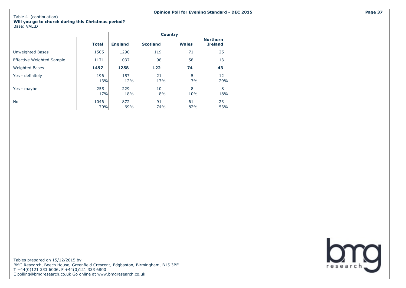|                                  |              |                | <b>Country</b>  |              |                                   |
|----------------------------------|--------------|----------------|-----------------|--------------|-----------------------------------|
|                                  | <b>Total</b> | <b>England</b> | <b>Scotland</b> | <b>Wales</b> | <b>Northern</b><br><b>Ireland</b> |
| Unweighted Bases                 | 1505         | 1290           | 119             | 71           | 25                                |
| <b>Effective Weighted Sample</b> | 1171         | 1037           | 98              | 58           | 13                                |
| <b>Weighted Bases</b>            | 1497         | 1258           | 122             | 74           | 43                                |
| Yes - definitely                 | 196<br>13%   | 157<br>12%     | 21<br>17%       | 5<br>7%      | 12<br>29%                         |
| Yes - maybe                      | 255<br>17%   | 229<br>18%     | 10<br>8%        | 8<br>10%     | 8<br>18%                          |
| <b>No</b>                        | 1046<br>70%  | 872<br>69%     | 91<br>74%       | 61<br>82%    | 23<br>53%                         |

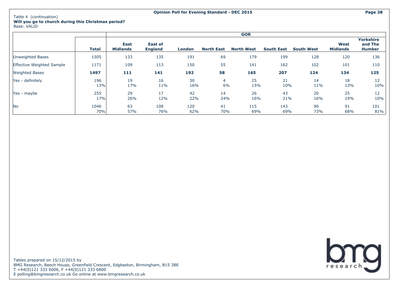|                                  |              |                                |                                  |            |                      | <b>GOR</b>        |                   |                   |                         |                                              |
|----------------------------------|--------------|--------------------------------|----------------------------------|------------|----------------------|-------------------|-------------------|-------------------|-------------------------|----------------------------------------------|
|                                  | <b>Total</b> | <b>East</b><br><b>Midlands</b> | <b>East of</b><br><b>England</b> | London     | <b>North East</b>    | <b>North West</b> | <b>South East</b> | <b>South West</b> | West<br><b>Midlands</b> | <b>Yorkshire</b><br>and The<br><b>Humber</b> |
| <b>Unweighted Bases</b>          | 1505         | 133                            | 135                              | 191        | 69                   | 179               | 199               | 128               | 120                     | 136                                          |
| <b>Effective Weighted Sample</b> | 1171         | 109                            | 113                              | 150        | 55                   | 141               | 162               | 102               | 101                     | 110                                          |
| <b>Weighted Bases</b>            | 1497         | 111                            | 141                              | 192        | 58                   | 165               | 207               | 124               | 134                     | 125                                          |
| Yes - definitely                 | 196<br>13%   | 19<br>17%                      | 16<br>11%                        | 30<br>16%  | $\overline{4}$<br>6% | 25<br>15%         | 21<br>10%         | 14<br>11%         | 18<br>13%               | 12<br>10%                                    |
| Yes - maybe                      | 255<br>17%   | 29<br>26%                      | 17<br>12%                        | 42<br>22%  | 14<br>24%            | 26<br>16%         | 43<br>21%         | 20<br>16%         | 25<br>19%               | 12<br>10%                                    |
| <b>No</b>                        | 1046<br>70%  | 63<br>57%                      | 108<br>76%                       | 120<br>62% | 41<br>70%            | 115<br>69%        | 143<br>69%        | 90<br>73%         | 91<br>68%               | 101<br>81%                                   |

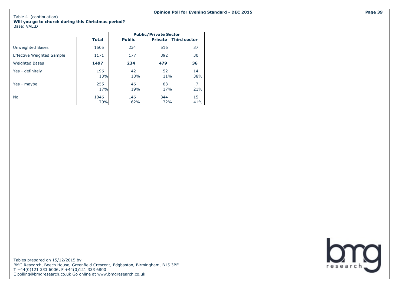|                                  |              |               | <b>Public/Private Sector</b> |                       |
|----------------------------------|--------------|---------------|------------------------------|-----------------------|
|                                  | <b>Total</b> | <b>Public</b> | <b>Private</b>               | <b>Third sector</b>   |
| Unweighted Bases                 | 1505         | 234           | 516                          | 37                    |
| <b>Effective Weighted Sample</b> | 1171         | 177           | 392                          | 30                    |
| <b>Weighted Bases</b>            | 1497         | 234           | 479                          | 36                    |
| Yes - definitely                 | 196<br>13%   | 42<br>18%     | 52<br>11%                    | 14<br>38%             |
| Yes - maybe                      | 255<br>17%   | 46<br>19%     | 83<br>17%                    | $\overline{7}$<br>21% |
| <b>No</b>                        | 1046<br>70%  | 146<br>62%    | 344<br>72%                   | 15<br>41%             |

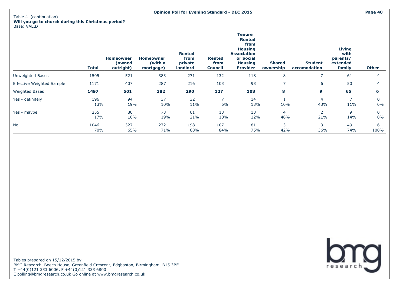|                                  |             |                                         |                                          |                                              |                                         | Tenure                                                                                                          |                            |                                |                                                  |              |
|----------------------------------|-------------|-----------------------------------------|------------------------------------------|----------------------------------------------|-----------------------------------------|-----------------------------------------------------------------------------------------------------------------|----------------------------|--------------------------------|--------------------------------------------------|--------------|
|                                  | Total       | <b>Homeowner</b><br>owned)<br>outright) | <b>Homeowner</b><br>(with a<br>mortgage) | <b>Rented</b><br>from<br>private<br>landlord | <b>Rented</b><br>from<br><b>Council</b> | <b>Rented</b><br>from<br><b>Housing</b><br><b>Association</b><br>or Social<br><b>Housing</b><br><b>Provider</b> | <b>Shared</b><br>ownership | <b>Student</b><br>accomodation | Living<br>with<br>parents/<br>extended<br>family | <b>Other</b> |
| Unweighted Bases                 | 1505        | 521                                     | 383                                      | 271                                          | 132                                     | 118                                                                                                             | 8                          | 7                              | 61                                               | 4            |
| <b>Effective Weighted Sample</b> | 1171        | 407                                     | 287                                      | 216                                          | 103                                     | 93                                                                                                              | 7                          | 6                              | 50                                               | 4            |
| <b>Weighted Bases</b>            | 1497        | 501                                     | 382                                      | 290                                          | 127                                     | 108                                                                                                             | 8                          | 9                              | 65                                               | 6            |
| Yes - definitely                 | 196<br>13%  | 94<br>19%                               | 37<br>10%                                | 32<br>11%                                    | 6%                                      | 14<br>13%                                                                                                       | 10%                        | $\overline{4}$<br>43%          | 11%                                              | 0<br>0%      |
| Yes - maybe                      | 255<br>17%  | 80<br>16%                               | 73<br>19%                                | 61<br>21%                                    | 13<br>10%                               | 13<br>12%                                                                                                       | $\overline{4}$<br>48%      | $\overline{2}$<br>21%          | 9<br>14%                                         | 0<br>0%      |
| N <sub>o</sub>                   | 1046<br>70% | 327<br>65%                              | 272<br>71%                               | 198<br>68%                                   | 107<br>84%                              | 81<br>75%                                                                                                       | 3<br>42%                   | 3<br>36%                       | 49<br>74%                                        | 6<br>100%    |

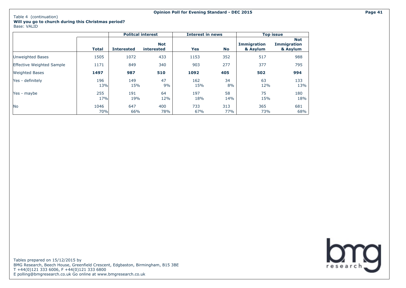## Table 4 (continuation)

## **Will you go to church during this Christmas period?** Base: VALID

|                                  |              |                   | <b>Politcal interest</b> | <b>Interest in news</b> |            |                                | <b>Top issue</b>                             |
|----------------------------------|--------------|-------------------|--------------------------|-------------------------|------------|--------------------------------|----------------------------------------------|
|                                  | <b>Total</b> | <b>Interested</b> | <b>Not</b><br>interested | Yes                     | <b>No</b>  | <b>Immigration</b><br>& Asylum | <b>Not</b><br><b>Immigration</b><br>& Asylum |
| <b>Unweighted Bases</b>          | 1505         | 1072              | 433                      | 1153                    | 352        | 517                            | 988                                          |
| <b>Effective Weighted Sample</b> | 1171         | 849               | 340                      | 903                     | 277        | 377                            | 795                                          |
| <b>Weighted Bases</b>            | 1497         | 987               | 510                      | 1092                    | 405        | 502                            | 994                                          |
| Yes - definitely                 | 196<br>13%   | 149<br>15%        | 47<br>9%                 | 162<br>15%              | 34<br>8%   | 63<br>12%                      | 133<br>13%                                   |
| Yes - maybe                      | 255<br>17%   | 191<br>19%        | 64<br>12%                | 197<br>18%              | 58<br>14%  | 75<br>15%                      | 180<br>18%                                   |
| <b>No</b>                        | 1046<br>70%  | 647<br>66%        | 400<br>78%               | 733<br>67%              | 313<br>77% | 365<br>73%                     | 681<br>68%                                   |

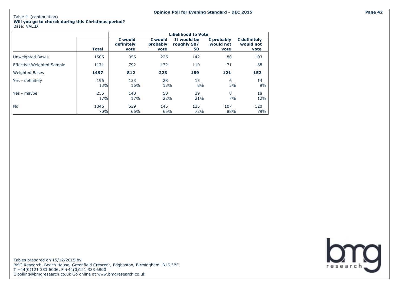**Will you go to church during this Christmas period?** Base: VALID

|                                  |              |                               |                             | <b>Likelihood to Vote</b>        |                                 |                                   |
|----------------------------------|--------------|-------------------------------|-----------------------------|----------------------------------|---------------------------------|-----------------------------------|
|                                  | <b>Total</b> | I would<br>definitely<br>vote | I would<br>probably<br>vote | It would be<br>roughly 50/<br>50 | I probably<br>would not<br>vote | I definitely<br>would not<br>vote |
| <b>Unweighted Bases</b>          | 1505         | 955                           | 225                         | 142                              | 80                              | 103                               |
| <b>Effective Weighted Sample</b> | 1171         | 792                           | 172                         | 110                              | 71                              | 88                                |
| <b>Weighted Bases</b>            | 1497         | 812                           | 223                         | 189                              | 121                             | 152                               |
| Yes - definitely                 | 196<br>13%   | 133<br>16%                    | 28<br>13%                   | 15<br>8%                         | 6<br>5%                         | 14<br>9%                          |
| Yes - maybe                      | 255<br>17%   | 140<br>17%                    | 50<br>22%                   | 39<br>21%                        | 8<br>7%                         | 18<br>12%                         |
| No                               | 1046<br>70%  | 539<br>66%                    | 145<br>65%                  | 135<br>72%                       | 107<br>88%                      | 120<br>79%                        |

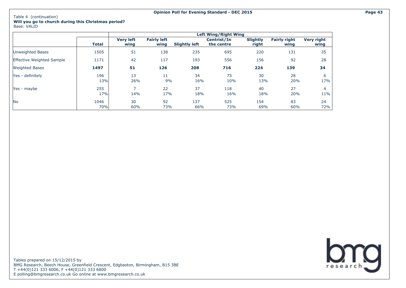|                                  |              |                                 |                            |                      | <b>Left Wing/Right Wing</b> |                          |                             |                           |
|----------------------------------|--------------|---------------------------------|----------------------------|----------------------|-----------------------------|--------------------------|-----------------------------|---------------------------|
|                                  | <b>Total</b> | <b>Very left</b><br>wing        | <b>Fairly left</b><br>wing | <b>Slightly left</b> | Centrist/In<br>the centre   | <b>Slightly</b><br>right | <b>Fairly right</b><br>wing | <b>Very right</b><br>wing |
| Unweighted Bases                 | 1505         | 51                              | 138                        | 235                  | 695                         | 220                      | 131                         | 35                        |
| <b>Effective Weighted Sample</b> | 1171         | 42                              | 117                        | 193                  | 556                         | 156                      | 92                          | 28                        |
| <b>Weighted Bases</b>            | 1497         | 51                              | 126                        | 208                  | 716                         | 224                      | 139                         | 34                        |
| Yes - definitely                 | 196<br>13%   | 13<br>26%                       | 11<br>9%                   | 34<br>16%            | 73<br>10%                   | 30<br>13%                | 28<br>20%                   | 6<br>17%                  |
| Yes - maybe                      | 255<br>17%   | $\overline{\phantom{1}}$<br>14% | 22<br>17%                  | 37<br>18%            | 118<br>16%                  | 40<br>18%                | 27<br>20%                   | 4<br>11%                  |
| <b>No</b>                        | 1046<br>70%  | 30<br>60%                       | 92<br>73%                  | 137<br>66%           | 525<br>73%                  | 154<br>69%               | 83<br>60%                   | 24<br>72%                 |



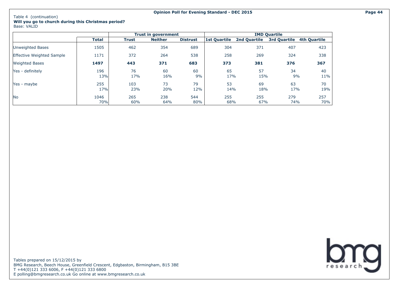|                                  |              |              | <b>Trust in government</b> |                 |                     |                     | <b>IMD Quartile</b> |                     |
|----------------------------------|--------------|--------------|----------------------------|-----------------|---------------------|---------------------|---------------------|---------------------|
|                                  | <b>Total</b> | <b>Trust</b> | <b>Neither</b>             | <b>Distrust</b> | <b>1st Quartile</b> | <b>2nd Quartile</b> | 3rd Quartile        | <b>4th Quartile</b> |
| <b>Unweighted Bases</b>          | 1505         | 462          | 354                        | 689             | 304                 | 371                 | 407                 | 423                 |
| <b>Effective Weighted Sample</b> | 1171         | 372          | 264                        | 538             | 258                 | 269                 | 324                 | 338                 |
| <b>Weighted Bases</b>            | 1497         | 443          | 371                        | 683             | 373                 | 381                 | 376                 | 367                 |
| Yes - definitely                 | 196          | 76           | 60                         | 60              | 65                  | 57                  | 34                  | 40                  |
|                                  | 13%          | 17%          | 16%                        | 9%              | 17%                 | 15%                 | 9%                  | 11%                 |
| Yes - maybe                      | 255          | 103          | 73                         | 79              | 53                  | 69                  | 63                  | 70                  |
|                                  | 17%          | 23%          | 20%                        | 12%             | 14%                 | 18%                 | 17%                 | 19%                 |
| <b>No</b>                        | 1046         | 265          | 238                        | 544             | 255                 | 255                 | 279                 | 257                 |
|                                  | 70%          | 60%          | 64%                        | 80%             | 68%                 | 67%                 | 74%                 | 70%                 |

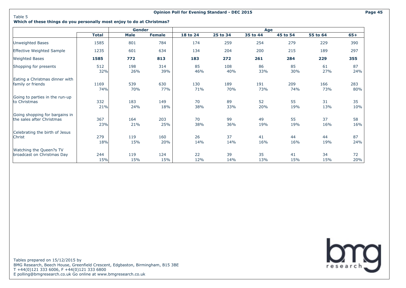Table 5

## **Which of these things do you personally most enjoy to do at Christmas?**

|                                |              | Gender      |               |          |          | Age      |          |          |       |
|--------------------------------|--------------|-------------|---------------|----------|----------|----------|----------|----------|-------|
|                                | <b>Total</b> | <b>Male</b> | <b>Female</b> | 18 to 24 | 25 to 34 | 35 to 44 | 45 to 54 | 55 to 64 | $65+$ |
| Unweighted Bases               | 1585         | 801         | 784           | 174      | 259      | 254      | 279      | 229      | 390   |
| Effective Weighted Sample      | 1235         | 601         | 634           | 134      | 204      | 200      | 215      | 189      | 297   |
| <b>Weighted Bases</b>          | 1585         | 772         | 813           | 183      | 272      | 261      | 284      | 229      | 355   |
| Shopping for presents          | 512          | 198         | 314           | 85       | 108      | 86       | 85       | 61       | 87    |
|                                | 32%          | 26%         | 39%           | 46%      | 40%      | 33%      | 30%      | 27%      | 24%   |
| Eating a Christmas dinner with | 1169         | 539         | 630           | 130      | 189      | 191      | 209      | 166      | 283   |
| family or friends              | 74%          | 70%         | 77%           | 71%      | 70%      | 73%      | 74%      | 73%      | 80%   |
| Going to parties in the run-up | 332          | 183         | 149           | 70       | 89       | 52       | 55       | 31       | 35    |
| to Christmas                   | 21%          | 24%         | 18%           | 38%      | 33%      | 20%      | 19%      | 13%      | 10%   |
| Going shopping for bargains in | 367          | 164         | 203           | 70       | 99       | 49       | 55       | 37       | 58    |
| the sales after Christmas      | 23%          | 21%         | 25%           | 38%      | 36%      | 19%      | 19%      | 16%      | 16%   |
| Celebrating the birth of Jesus | 279          | 119         | 160           | 26       | 37       | 41       | 44       | 44       | 87    |
| Christ                         | 18%          | 15%         | 20%           | 14%      | 14%      | 16%      | 16%      | 19%      | 24%   |
| Watching the Queen?s TV        | 244          | 119         | 124           | 22       | 39       | 35       | 41       | 34       | 72    |
| broadcast on Christmas Day     | 15%          | 15%         | 15%           | 12%      | 14%      | 13%      | 15%      | 15%      | 20%   |

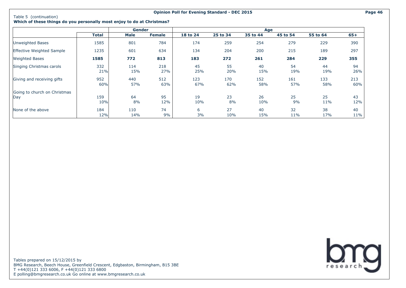#### **Opinion Poll for Evening Standard - DEC 2015 Page 46**

### **Which of these things do you personally most enjoy to do at Christmas?**

|                                     |              | Gender      |               |            |            | Age        |            |            |              |
|-------------------------------------|--------------|-------------|---------------|------------|------------|------------|------------|------------|--------------|
|                                     | <b>Total</b> | <b>Male</b> | <b>Female</b> | 18 to 24   | 25 to 34   | 35 to 44   | 45 to 54   | 55 to 64   | 65+          |
| Unweighted Bases                    | 1585         | 801         | 784           | 174        | 259        | 254        | 279        | 229        | 390          |
| <b>Effective Weighted Sample</b>    | 1235         | 601         | 634           | 134        | 204        | 200        | 215        | 189        | 297          |
| <b>Weighted Bases</b>               | 1585         | 772         | 813           | 183        | 272        | 261        | 284        | 229        | 355          |
| Singing Christmas carols            | 332<br>21%   | 114<br>15%  | 218<br>27%    | 45<br>25%  | 55<br>20%  | 40<br>15%  | 54<br>19%  | 44<br>19%  | 94<br>26%    |
| Giving and receiving gifts          | 952<br>60%   | 440<br>57%  | 512<br>63%    | 123<br>67% | 170<br>62% | 152<br>58% | 161<br>57% | 133<br>58% | 213<br>60%   |
| Going to church on Christmas<br>Day | 159<br>10%   | 64<br>8%    | 95<br>12%     | 19<br>10%  | 23<br>8%   | 26<br>10%  | 25<br>9%   | 25<br>11%  | 43<br>12%    |
| None of the above                   | 184<br>12%   | 110<br>14%  | 74<br>9%      | 6<br>3%    | 27<br>10%  | 40<br>15%  | 32<br>11%  | 38<br>17%  | 40<br>$11\%$ |

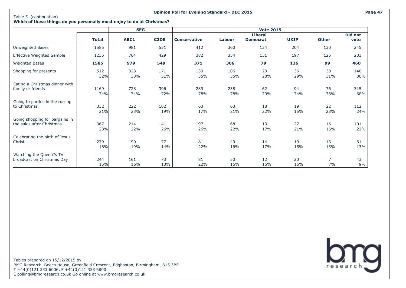#### **Opinion Poll for Evening Standard - DEC 2015 Page 47**

**Which of these things do you personally most enjoy to do at Christmas?**

|                                  |              | <b>SEG</b> |                   |                     |        | <b>Vote 2015</b> |             |                |                |
|----------------------------------|--------------|------------|-------------------|---------------------|--------|------------------|-------------|----------------|----------------|
|                                  |              |            |                   |                     |        | <b>Liberal</b>   |             |                | <b>Did not</b> |
|                                  | <b>Total</b> | ABC1       | C <sub>2</sub> DE | <b>Conservative</b> | Labour | <b>Democrat</b>  | <b>UKIP</b> | <b>Other</b>   | vote           |
| Unweighted Bases                 | 1585         | 981        | 551               | 412                 | 360    | 134              | 204         | 130            | 245            |
| <b>Effective Weighted Sample</b> | 1235         | 764        | 429               | 382                 | 334    | 131              | 197         | 125            | 233            |
| <b>Weighted Bases</b>            | 1585         | 979        | 549               | 371                 | 306    | 79               | 126         | 99             | 460            |
| Shopping for presents            | 512          | 323        | 171               | 130                 | 106    | 23               | 36          | 30             | 140            |
|                                  | 32%          | 33%        | 31%               | 35%                 | 35%    | 28%              | 29%         | 31%            | 30%            |
| Eating a Christmas dinner with   | 1169         | 728        | 396               | 289                 | 238    | 62               | 94          | 76             | 315            |
| family or friends                | 74%          | 74%        | 72%               | 78%                 | 78%    | 79%              | 74%         | 76%            | 68%            |
| Going to parties in the run-up   | 332          | 222        | 102               | 63                  | 63     | 18               | 19          | 22             | 112            |
| to Christmas                     | 21%          | 23%        | 19%               | 17%                 | 21%    | 22%              | 15%         | 23%            | 24%            |
| Going shopping for bargains in   | 367          | 214        | 141               | 97                  | 68     | 13               | 27          | 16             | 101            |
| the sales after Christmas        | 23%          | 22%        | 26%               | 26%                 | 22%    | 17%              | 21%         | 16%            | 22%            |
| Celebrating the birth of Jesus   | 279          | 190        | 77                | 81                  | 49     | 14               | 19          | 13             | 61             |
| Christ                           | 18%          | 19%        | 14%               | 22%                 | 16%    | 17%              | 15%         | 13%            | 13%            |
| Watching the Queen?s TV          | 244          | 161        | 73                | 81                  | 50     | 12               | 20          | $\overline{7}$ | 43             |
| broadcast on Christmas Day       | 15%          | 16%        | 13%               | 22%                 | 16%    | 15%              | 16%         | 7%             | 9%             |

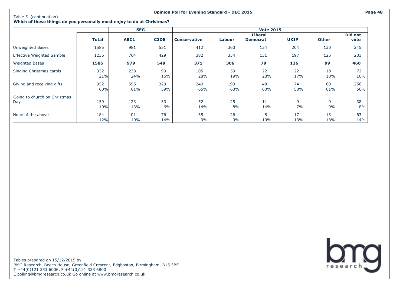#### **Opinion Poll for Evening Standard - DEC 2015 Page 48**

#### **Which of these things do you personally most enjoy to do at Christmas?**

|                                     |            | <b>SEG</b> |                   |                     |            | <b>Vote 2015</b> |             |              |            |
|-------------------------------------|------------|------------|-------------------|---------------------|------------|------------------|-------------|--------------|------------|
|                                     |            |            |                   |                     |            | <b>Liberal</b>   |             |              | Did not    |
|                                     | Total      | ABC1       | C <sub>2</sub> DE | <b>Conservative</b> | Labour     | <b>Democrat</b>  | <b>UKIP</b> | <b>Other</b> | vote       |
| Unweighted Bases                    | 1585       | 981        | 551               | 412                 | 360        | 134              | 204         | 130          | 245        |
| Effective Weighted Sample           | 1235       | 764        | 429               | 382                 | 334        | 131              | 197         | 125          | 233        |
| <b>Weighted Bases</b>               | 1585       | 979        | 549               | 371                 | 306        | 79               | 126         | 99           | 460        |
| Singing Christmas carols            | 332<br>21% | 238<br>24% | 90<br>16%         | 105<br>28%          | 59<br>19%  | 22<br>28%        | 22<br>17%   | 18<br>18%    | 72<br>16%  |
| Giving and receiving gifts          | 952<br>60% | 595<br>61% | 323<br>59%        | 240<br>65%          | 193<br>63% | 48<br>60%        | 74<br>58%   | 60<br>61%    | 256<br>56% |
| Going to church on Christmas<br>Day | 159<br>10% | 123<br>13% | 33<br>6%          | 52<br>14%           | 25<br>8%   | 11<br>14%        | 9<br>7%     | 9<br>9%      | 38<br>8%   |
| None of the above                   | 184<br>12% | 101<br>10% | 76<br>14%         | 35<br>9%            | 26<br>9%   | 8<br>10%         | 17<br>13%   | 13<br>13%    | 63<br>14%  |

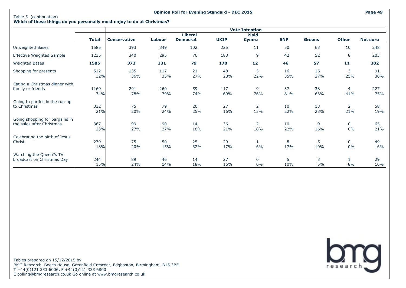#### **Opinion Poll for Evening Standard - DEC 2015 Page 49**

## **Which of these things do you personally most enjoy to do at Christmas?**

|                                                     |              |                     |            |                 |             | <b>Vote Intention</b> |            |               |                       |                 |
|-----------------------------------------------------|--------------|---------------------|------------|-----------------|-------------|-----------------------|------------|---------------|-----------------------|-----------------|
|                                                     |              |                     |            | <b>Liberal</b>  |             | <b>Plaid</b>          |            |               |                       |                 |
|                                                     | <b>Total</b> | <b>Conservative</b> | Labour     | <b>Democrat</b> | <b>UKIP</b> | Cymru                 | <b>SNP</b> | <b>Greens</b> | <b>Other</b>          | <b>Not sure</b> |
| Unweighted Bases                                    | 1585         | 393                 | 349        | 102             | 225         | 11                    | 50         | 63            | 10                    | 248             |
| Effective Weighted Sample                           | 1235         | 340                 | 295        | 76              | 183         | 9                     | 42         | 52            | 8                     | 203             |
| <b>Weighted Bases</b>                               | 1585         | 373                 | 331        | 79              | 170         | 12                    | 46         | 57            | 11                    | 302             |
| Shopping for presents                               | 512<br>32%   | 135<br>36%          | 117<br>35% | 21<br>27%       | 48<br>28%   | 3<br>22%              | 16<br>35%  | 15<br>27%     | 3<br>25%              | 91<br>30%       |
| Eating a Christmas dinner with<br>family or friends | 1169         | 291                 | 260        | 59              | 117         | 9                     | 37         | 38            | $\overline{4}$        | 227             |
|                                                     | 74%          | 78%                 | 79%        | 74%             | 69%         | 76%                   | 81%        | 66%           | 41%                   | 75%             |
| Going to parties in the run-up                      |              |                     |            |                 |             |                       |            |               |                       |                 |
| to Christmas                                        | 332<br>21%   | 75<br>20%           | 79<br>24%  | 20<br>25%       | 27<br>16%   | $\overline{2}$<br>13% | 10<br>22%  | 13<br>23%     | $\overline{2}$<br>21% | 58<br>19%       |
| Going shopping for bargains in                      |              |                     |            |                 |             |                       |            |               |                       |                 |
| the sales after Christmas                           | 367<br>23%   | 99<br>27%           | 90<br>27%  | 14<br>18%       | 36<br>21%   | $\overline{2}$<br>18% | 10<br>22%  | 9<br>16%      | $\mathbf{0}$<br>0%    | 65<br>21%       |
| Celebrating the birth of Jesus                      |              |                     |            |                 |             |                       |            |               |                       |                 |
| Christ                                              | 279<br>18%   | 75<br>20%           | 50<br>15%  | 25<br>32%       | 29<br>17%   | 6%                    | 8<br>17%   | 5<br>10%      | $\mathbf{0}$<br>0%    | 49<br>16%       |
| Watching the Queen?s TV                             |              |                     |            |                 |             |                       |            |               |                       |                 |
| broadcast on Christmas Day                          | 244<br>15%   | 89<br>24%           | 46<br>14%  | 14<br>18%       | 27<br>16%   | $\mathbf 0$<br>0%     | 5<br>10%   | 3<br>5%       | 8%                    | 29<br>10%       |

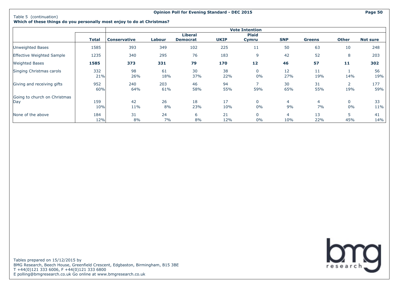#### **Opinion Poll for Evening Standard - DEC 2015 Page 50**

## **Which of these things do you personally most enjoy to do at Christmas?**

|                                     |              |                     |            |                                   |             | <b>Vote Intention</b> |                          |               |                       |                 |
|-------------------------------------|--------------|---------------------|------------|-----------------------------------|-------------|-----------------------|--------------------------|---------------|-----------------------|-----------------|
|                                     | <b>Total</b> | <b>Conservative</b> | Labour     | <b>Liberal</b><br><b>Democrat</b> | <b>UKIP</b> | <b>Plaid</b><br>Cymru | <b>SNP</b>               | <b>Greens</b> | <b>Other</b>          | <b>Not sure</b> |
| Unweighted Bases                    | 1585         | 393                 | 349        | 102                               | 225         | 11                    | 50                       | 63            | 10                    | 248             |
| <b>Effective Weighted Sample</b>    | 1235         | 340                 | 295        | 76                                | 183         | 9                     | 42                       | 52            | 8                     | 203             |
| <b>Weighted Bases</b>               | 1585         | 373                 | 331        | 79                                | 170         | 12                    | 46                       | 57            | 11                    | 302             |
| Singing Christmas carols            | 332<br>21%   | 98<br>26%           | 61<br>18%  | 30<br>37%                         | 38<br>22%   | $\mathbf 0$<br>0%     | $12 \overline{ }$<br>27% | 11<br>19%     | 14%                   | 56<br>19%       |
| Giving and receiving gifts          | 952<br>60%   | 240<br>64%          | 203<br>61% | 46<br>58%                         | 94<br>55%   | 59%                   | 30<br>65%                | 31<br>55%     | $\overline{2}$<br>19% | 177<br>59%      |
| Going to church on Christmas<br>Day | 159<br>10%   | 42<br>11%           | 26<br>8%   | 18<br>23%                         | 17<br>10%   | $\mathbf{0}$<br>$0\%$ | 4<br>9%                  | 4<br>7%       | $\mathbf{0}$<br>0%    | 33<br>11%       |
| None of the above                   | 184<br>12%   | 31<br>8%            | 24<br>7%   | 6<br>8%                           | 21<br>12%   | $\mathbf{0}$<br>0%    | 4<br>10%                 | 13<br>22%     | 5<br>45%              | 41<br>14%       |

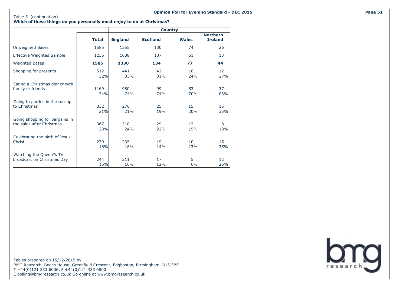#### **Which of these things do you personally most enjoy to do at Christmas?**

|                                  |              |                | <b>Country</b>  |              |                                   |
|----------------------------------|--------------|----------------|-----------------|--------------|-----------------------------------|
|                                  | <b>Total</b> | <b>England</b> | <b>Scotland</b> | <b>Wales</b> | <b>Northern</b><br><b>Ireland</b> |
| <b>Unweighted Bases</b>          | 1585         | 1355           | 130             | 74           | 26                                |
| <b>Effective Weighted Sample</b> | 1235         | 1088           | 107             | 61           | 13                                |
| <b>Weighted Bases</b>            | 1585         | 1330           | 134             | 77           | 44                                |
| Shopping for presents            | 512          | 441            | 42              | 18           | 12                                |
|                                  | 32%          | 33%            | 31%             | 24%          | 27%                               |
| Eating a Christmas dinner with   | 1169         | 980            | 99              | 53           | 37                                |
| family or friends                | 74%          | 74%            | 74%             | 70%          | 83%                               |
| Going to parties in the run-up   | 332          | 276            | 25              | 15           | 15                                |
| to Christmas                     | 21%          | 21%            | 19%             | 20%          | 35%                               |
| Going shopping for bargains in   | 367          | 318            | 29              | 12           | 8                                 |
| the sales after Christmas        | 23%          | 24%            | 22%             | 15%          | 18%                               |
| Celebrating the birth of Jesus   | 279          | 235            | 19              | 10           | 15                                |
| Christ                           | 18%          | 18%            | 14%             | 13%          | 35%                               |
| Watching the Queen?s TV          | 244          | 211            | 17              | 5            | 12 <sup>2</sup>                   |
| broadcast on Christmas Day       | 15%          | 16%            | 12%             | 6%           | 26%                               |

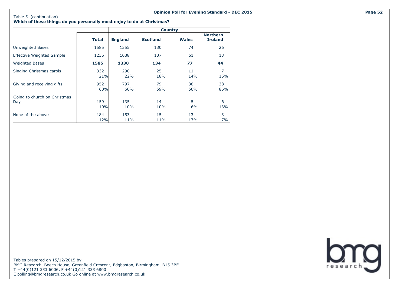**Which of these things do you personally most enjoy to do at Christmas?**

|                                     |              |                | <b>Country</b>  |              |                                   |
|-------------------------------------|--------------|----------------|-----------------|--------------|-----------------------------------|
|                                     | <b>Total</b> | <b>England</b> | <b>Scotland</b> | <b>Wales</b> | <b>Northern</b><br><b>Ireland</b> |
| Unweighted Bases                    | 1585         | 1355           | 130             | 74           | 26                                |
| <b>Effective Weighted Sample</b>    | 1235         | 1088           | 107             | 61           | 13                                |
| <b>Weighted Bases</b>               | 1585         | 1330           | 134             | 77           | 44                                |
| Singing Christmas carols            | 332<br>21%   | 290<br>22%     | 25<br>18%       | 11<br>14%    | $\overline{7}$<br>15%             |
| Giving and receiving gifts          | 952<br>60%   | 797<br>60%     | 79<br>59%       | 38<br>50%    | 38<br>86%                         |
| Going to church on Christmas<br>Day | 159<br>10%   | 135<br>10%     | 14<br>10%       | 5<br>6%      | 6<br>13%                          |
| None of the above                   | 184<br>12%   | 153<br>11%     | 15<br>11%       | 13<br>17%    | 3<br>7%                           |

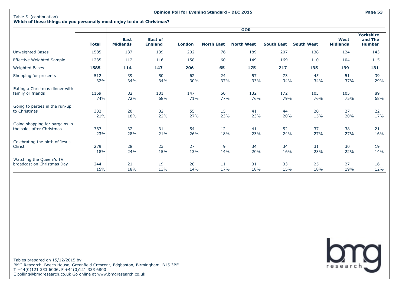#### **Opinion Poll for Evening Standard - DEC 2015 Page 53**

### **Which of these things do you personally most enjoy to do at Christmas?**

|                                  |              | <b>GOR</b>                     |                                  |        |                   |                   |                   |                   |                                |                                              |
|----------------------------------|--------------|--------------------------------|----------------------------------|--------|-------------------|-------------------|-------------------|-------------------|--------------------------------|----------------------------------------------|
|                                  | <b>Total</b> | <b>East</b><br><b>Midlands</b> | <b>East of</b><br><b>England</b> | London | <b>North East</b> | <b>North West</b> | <b>South East</b> | <b>South West</b> | <b>West</b><br><b>Midlands</b> | <b>Yorkshire</b><br>and The<br><b>Humber</b> |
| Unweighted Bases                 | 1585         | 137                            | 139                              | 202    | 76                | 189               | 207               | 138               | 124                            | 143                                          |
| <b>Effective Weighted Sample</b> | 1235         | 112                            | 116                              | 158    | 60                | 149               | 169               | 110               | 104                            | 115                                          |
| <b>Weighted Bases</b>            | 1585         | 114                            | 147                              | 206    | 65                | 175               | 217               | 135               | 139                            | 131                                          |
| Shopping for presents            | 512          | 39                             | 50                               | 62     | 24                | 57                | 73                | 45                | 51                             | 39                                           |
|                                  | 32%          | 34%                            | 34%                              | 30%    | 37%               | 33%               | 34%               | 34%               | 37%                            | 29%                                          |
| Eating a Christmas dinner with   | 1169         | 82                             | 101                              | 147    | 50                | 132               | 172               | 103               | 105                            | 89                                           |
| family or friends                | 74%          | 72%                            | 68%                              | 71%    | 77%               | 76%               | 79%               | 76%               | 75%                            | 68%                                          |
| Going to parties in the run-up   | 332          | 20                             | 32                               | 55     | 15                | 41                | 44                | 20                | 27                             | 22                                           |
| to Christmas                     | 21%          | 18%                            | 22%                              | 27%    | 23%               | 23%               | 20%               | 15%               | 20%                            | 17%                                          |
| Going shopping for bargains in   | 367          | 32                             | 31                               | 54     | 12                | 41                | 52                | 37                | 38                             | 21                                           |
| the sales after Christmas        | 23%          | 28%                            | 21%                              | 26%    | 18%               | 23%               | 24%               | 27%               | 27%                            | 16%                                          |
| Celebrating the birth of Jesus   | 279          | 28                             | 23                               | 27     | 9                 | 34                | 34                | 31                | 30                             | 19                                           |
| Christ                           | 18%          | 24%                            | 15%                              | 13%    | 14%               | 20%               | 16%               | 23%               | 22%                            | 14%                                          |
| Watching the Queen?s TV          | 244          | 21                             | 19                               | 28     | 11                | 31                | 33                | 25                | 27                             | 16                                           |
| broadcast on Christmas Day       | 15%          | 18%                            | 13%                              | 14%    | 17%               | 18%               | 15%               | 18%               | 19%                            | 12%                                          |

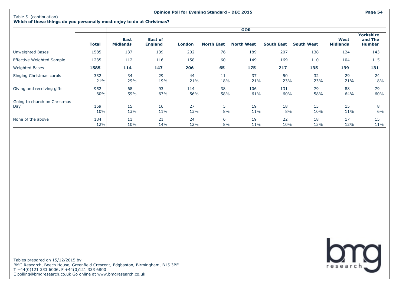### **Which of these things do you personally most enjoy to do at Christmas?**

|                                     |            |                                |                                  |            |                   | <b>GOR</b>        |                   |                   |                         |                                              |
|-------------------------------------|------------|--------------------------------|----------------------------------|------------|-------------------|-------------------|-------------------|-------------------|-------------------------|----------------------------------------------|
|                                     | Total      | <b>East</b><br><b>Midlands</b> | <b>East of</b><br><b>England</b> | London     | <b>North East</b> | <b>North West</b> | <b>South East</b> | <b>South West</b> | West<br><b>Midlands</b> | <b>Yorkshire</b><br>and The<br><b>Humber</b> |
| <b>Unweighted Bases</b>             | 1585       | 137                            | 139                              | 202        | 76                | 189               | 207               | 138               | 124                     | 143                                          |
| Effective Weighted Sample           | 1235       | 112                            | 116                              | 158        | 60                | 149               | 169               | 110               | 104                     | 115                                          |
| <b>Weighted Bases</b>               | 1585       | 114                            | 147                              | 206        | 65                | 175               | 217               | 135               | 139                     | 131                                          |
| Singing Christmas carols            | 332<br>21% | 34<br>29%                      | 29<br>19%                        | 44<br>21%  | 11<br>18%         | 37<br>21%         | 50<br>23%         | 32<br>23%         | 29<br>21%               | 24<br>18%                                    |
| Giving and receiving gifts          | 952<br>60% | 68<br>59%                      | 93<br>63%                        | 114<br>56% | 38<br>58%         | 106<br>61%        | 131<br>60%        | 79<br>58%         | 88<br>64%               | 79<br>60%                                    |
| Going to church on Christmas<br>Day | 159<br>10% | 15<br>13%                      | 16<br>11%                        | 27<br>13%  | 5<br>8%           | 19<br>11%         | 18<br>8%          | 13<br>10%         | 15<br>11%               | 8<br>6%                                      |
| None of the above                   | 184<br>12% | 11<br>10%                      | 21<br>14%                        | 24<br>12%  | 6<br>8%           | 19<br>11%         | 22<br>10%         | 18<br>13%         | 17<br>12%               | 15<br>11%                                    |

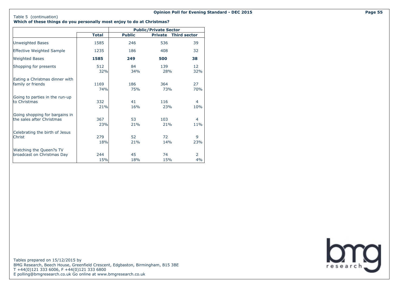**Opinion Poll for Evening Standard - DEC 2015 Page 55**

#### **Which of these things do you personally most enjoy to do at Christmas?**

|                                  |              | <b>Public/Private Sector</b> |                |                     |  |  |  |  |
|----------------------------------|--------------|------------------------------|----------------|---------------------|--|--|--|--|
|                                  | <b>Total</b> | <b>Public</b>                | <b>Private</b> | <b>Third sector</b> |  |  |  |  |
| Unweighted Bases                 | 1585         | 246                          | 536            | 39                  |  |  |  |  |
| <b>Effective Weighted Sample</b> | 1235         | 186                          | 408            | 32                  |  |  |  |  |
| <b>Weighted Bases</b>            | 1585         | 249                          | 500            | 38                  |  |  |  |  |
| Shopping for presents            | 512          | 84                           | 139            | 12                  |  |  |  |  |
|                                  | 32%          | 34%                          | 28%            | 32%                 |  |  |  |  |
| Eating a Christmas dinner with   | 1169         | 186                          | 364            | 27                  |  |  |  |  |
| family or friends                | 74%          | 75%                          | 73%            | 70%                 |  |  |  |  |
| Going to parties in the run-up   | 332          | 41                           | 116            | 4                   |  |  |  |  |
| to Christmas                     | 21%          | 16%                          | 23%            | 10%                 |  |  |  |  |
| Going shopping for bargains in   | 367          | 53                           | 103            | 4                   |  |  |  |  |
| the sales after Christmas        | 23%          | 21%                          | 21%            | 11%                 |  |  |  |  |
| Celebrating the birth of Jesus   | 279          | 52                           | 72             | 9                   |  |  |  |  |
| Christ                           | 18%          | 21%                          | 14%            | 23%                 |  |  |  |  |
| Watching the Queen?s TV          | 244          | 45                           | 74             | 2                   |  |  |  |  |
| broadcast on Christmas Day       | 15%          | 18%                          | 15%            | 4%                  |  |  |  |  |

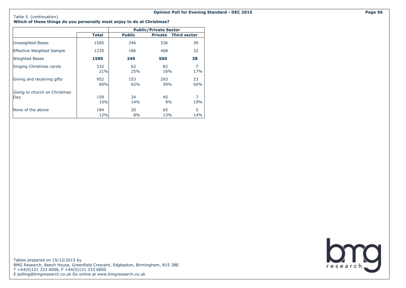#### Table 5 (continuation)

**Which of these things do you personally most enjoy to do at Christmas?**

|                                     |            |               | <b>Public/Private Sector</b> |                             |
|-------------------------------------|------------|---------------|------------------------------|-----------------------------|
|                                     | Total      | <b>Public</b> |                              | <b>Private Third sector</b> |
| Unweighted Bases                    | 1585       | 246           | 536                          | 39                          |
| <b>Effective Weighted Sample</b>    | 1235       | 186           | 408                          | 32                          |
| <b>Weighted Bases</b>               | 1585       | 249           | 500                          | 38                          |
| Singing Christmas carols            | 332<br>21% | 62<br>25%     | 82<br>16%                    | 7<br>17%                    |
| Giving and receiving gifts          | 952<br>60% | 153<br>62%    | 293<br>59%                   | 23<br>60%                   |
| Going to church on Christmas<br>Day | 159<br>10% | 34<br>14%     | 45<br>9%                     | 7<br>19%                    |
| None of the above                   | 184<br>12% | 20<br>8%      | 65<br>13%                    | 5<br>14%                    |

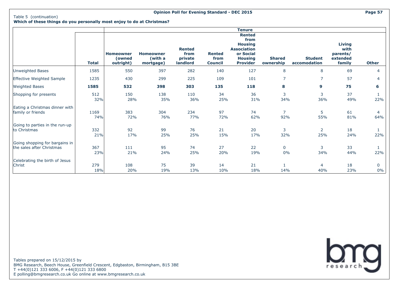#### **Opinion Poll for Evening Standard - DEC 2015 Page 57**

**Which of these things do you personally most enjoy to do at Christmas?**

|                                                             |              |                                         |                                          |                                              |                                         | <b>Tenure</b>                                                                                                   |                            |                                |                                                         |                      |
|-------------------------------------------------------------|--------------|-----------------------------------------|------------------------------------------|----------------------------------------------|-----------------------------------------|-----------------------------------------------------------------------------------------------------------------|----------------------------|--------------------------------|---------------------------------------------------------|----------------------|
|                                                             | <b>Total</b> | <b>Homeowner</b><br>(owned<br>outright) | <b>Homeowner</b><br>(with a<br>mortgage) | <b>Rented</b><br>from<br>private<br>landlord | <b>Rented</b><br>from<br><b>Council</b> | <b>Rented</b><br>from<br><b>Housing</b><br><b>Association</b><br>or Social<br><b>Housing</b><br><b>Provider</b> | <b>Shared</b><br>ownership | <b>Student</b><br>accomodation | <b>Living</b><br>with<br>parents/<br>extended<br>family | <b>Other</b>         |
| <b>Unweighted Bases</b>                                     | 1585         | 550                                     | 397                                      | 282                                          | 140                                     | 127                                                                                                             | 8                          | 8                              | 69                                                      | 4                    |
| Effective Weighted Sample                                   | 1235         | 430                                     | 299                                      | 225                                          | 109                                     | 101                                                                                                             | $\overline{7}$             | $\overline{7}$                 | 57                                                      | 4                    |
| <b>Weighted Bases</b>                                       | 1585         | 532                                     | 398                                      | 303                                          | 135                                     | 118                                                                                                             | 8                          | 9                              | 75                                                      | 6                    |
| Shopping for presents                                       | 512<br>32%   | 150<br>28%                              | 138<br>35%                               | 110<br>36%                                   | 34<br>25%                               | 36<br>31%                                                                                                       | 3<br>34%                   | 3<br>36%                       | 37<br>49%                                               | 22%                  |
| Eating a Christmas dinner with<br>family or friends         | 1169<br>74%  | 383<br>72%                              | 304<br>76%                               | 234<br>77%                                   | 97<br>72%                               | 74<br>62%                                                                                                       | $\overline{7}$<br>92%      | 5<br>55%                       | 61<br>81%                                               | 4<br>64%             |
| Going to parties in the run-up<br>to Christmas              | 332<br>21%   | 92<br>17%                               | 99<br>25%                                | 76<br>25%                                    | 21<br>15%                               | 20<br>17%                                                                                                       | 3<br>32%                   | $\overline{2}$<br>25%          | 18<br>24%                                               | 22%                  |
| Going shopping for bargains in<br>the sales after Christmas | 367<br>23%   | 111<br>21%                              | 95<br>24%                                | 74<br>25%                                    | 27<br>20%                               | 22<br>19%                                                                                                       | $\mathbf 0$<br>0%          | 3<br>34%                       | 33<br>44%                                               | 22%                  |
| Celebrating the birth of Jesus<br>Christ                    | 279<br>18%   | 108<br>20%                              | 75<br>19%                                | 39<br>13%                                    | 14<br>10%                               | 21<br>18%                                                                                                       | 14%                        | 4<br>40%                       | 18<br>23%                                               | $\mathbf 0$<br>$0\%$ |

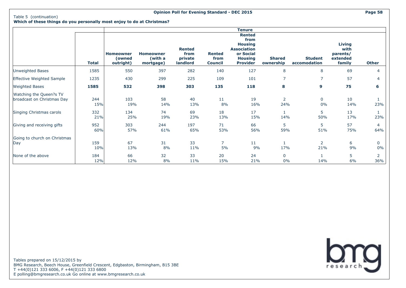#### **Opinion Poll for Evening Standard - DEC 2015 Page 58**

**Which of these things do you personally most enjoy to do at Christmas?**

|                                                       |              |                                  |                                          |                                              |                                         | <b>Tenure</b>                                                                                                   |                            |                                |                                                         |                       |
|-------------------------------------------------------|--------------|----------------------------------|------------------------------------------|----------------------------------------------|-----------------------------------------|-----------------------------------------------------------------------------------------------------------------|----------------------------|--------------------------------|---------------------------------------------------------|-----------------------|
|                                                       | <b>Total</b> | Homeowner<br>(owned<br>outright) | <b>Homeowner</b><br>(with a<br>mortgage) | <b>Rented</b><br>from<br>private<br>landlord | <b>Rented</b><br>from<br><b>Council</b> | <b>Rented</b><br>from<br><b>Housing</b><br><b>Association</b><br>or Social<br><b>Housing</b><br><b>Provider</b> | <b>Shared</b><br>ownership | <b>Student</b><br>accomodation | <b>Living</b><br>with<br>parents/<br>extended<br>family | <b>Other</b>          |
| Unweighted Bases                                      | 1585         | 550                              | 397                                      | 282                                          | 140                                     | 127                                                                                                             | 8                          | 8                              | 69                                                      | 4                     |
| Effective Weighted Sample                             | 1235         | 430                              | 299                                      | 225                                          | 109                                     | 101                                                                                                             | 7                          | 7                              | 57                                                      | 4                     |
| <b>Weighted Bases</b>                                 | 1585         | 532                              | 398                                      | 303                                          | 135                                     | 118                                                                                                             | 8                          | 9                              | 75                                                      | 6                     |
| Watching the Queen?s TV<br>broadcast on Christmas Day | 244<br>15%   | 103<br>19%                       | 58<br>14%                                | 40<br>13%                                    | 11<br>8%                                | 19<br>16%                                                                                                       | $\overline{2}$<br>24%      | 0<br>0%                        | 10<br>14%                                               | 23%                   |
| Singing Christmas carols                              | 332<br>21%   | 134<br>25%                       | 74<br>19%                                | 69<br>23%                                    | 18<br>13%                               | 17<br>15%                                                                                                       | 14%                        | 5<br>50%                       | 13<br>17%                                               | 23%                   |
| Giving and receiving gifts                            | 952<br>60%   | 303<br>57%                       | 244<br>61%                               | 197<br>65%                                   | 71<br>53%                               | 66<br>56%                                                                                                       | 5<br>59%                   | 5<br>51%                       | 57<br>75%                                               | 4<br>64%              |
| Going to church on Christmas<br>Day                   | 159<br>10%   | 67<br>13%                        | 31<br>8%                                 | 33<br>11%                                    | $\overline{7}$<br>5%                    | 11<br>9%                                                                                                        | 17%                        | $\mathbf{2}^{\prime}$<br>21%   | 6<br>9%                                                 | $\mathbf{0}$<br>$0\%$ |
| None of the above                                     | 184<br>12%   | 66<br>12%                        | 32<br>8%                                 | 33<br>11%                                    | 20<br>15%                               | 24<br>21%                                                                                                       | $\mathbf 0$<br>0%          | 14%                            | 5<br>6%                                                 | 2<br>36%              |

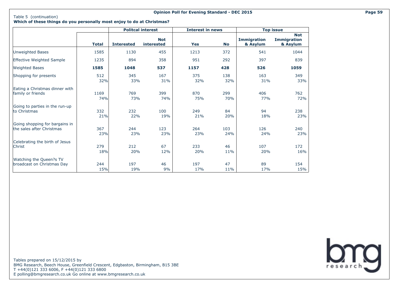#### **Opinion Poll for Evening Standard - DEC 2015 Page 59**

**Which of these things do you personally most enjoy to do at Christmas?**

|                                  |              |                   | <b>Politcal interest</b>        | <b>Interest in news</b> |           |                                | <b>Top issue</b>                             |
|----------------------------------|--------------|-------------------|---------------------------------|-------------------------|-----------|--------------------------------|----------------------------------------------|
|                                  | <b>Total</b> | <b>Interested</b> | <b>Not</b><br><b>interested</b> | <b>Yes</b>              | <b>No</b> | <b>Immigration</b><br>& Asylum | <b>Not</b><br><b>Immigration</b><br>& Asylum |
| Unweighted Bases                 | 1585         | 1130              | 455                             | 1213                    | 372       | 541                            | 1044                                         |
| <b>Effective Weighted Sample</b> | 1235         | 894               | 358                             | 951                     | 292       | 397                            | 839                                          |
| <b>Weighted Bases</b>            | 1585         | 1048              | 537                             | 1157                    | 428       | 526                            | 1059                                         |
| Shopping for presents            | 512          | 345               | 167                             | 375                     | 138       | 163                            | 349                                          |
|                                  | 32%          | 33%               | 31%                             | 32%                     | 32%       | 31%                            | 33%                                          |
| Eating a Christmas dinner with   | 1169         | 769               | 399                             | 870                     | 299       | 406                            | 762                                          |
| family or friends                | 74%          | 73%               | 74%                             | 75%                     | 70%       | 77%                            | 72%                                          |
| Going to parties in the run-up   | 332          | 232               | 100                             | 249                     | 84        | 94                             | 238                                          |
| to Christmas                     | 21%          | 22%               | 19%                             | 21%                     | 20%       | 18%                            | 23%                                          |
| Going shopping for bargains in   | 367          | 244               | 123                             | 264                     | 103       | 126                            | 240                                          |
| the sales after Christmas        | 23%          | 23%               | 23%                             | 23%                     | 24%       | 24%                            | 23%                                          |
| Celebrating the birth of Jesus   | 279          | 212               | 67                              | 233                     | 46        | 107                            | 172                                          |
| Christ                           | 18%          | 20%               | 12%                             | 20%                     | 11%       | 20%                            | 16%                                          |
| Watching the Queen?s TV          | 244          | 197               | 46                              | 197                     | 47        | 89                             | 154                                          |
| broadcast on Christmas Day       | 15%          | 19%               | 9%                              | 17%                     | 11%       | 17%                            | 15%                                          |

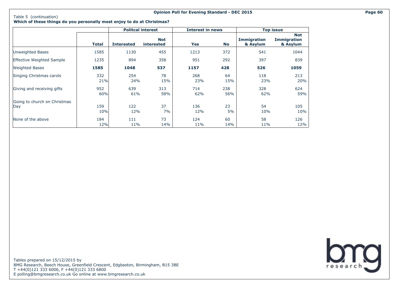#### **Opinion Poll for Evening Standard - DEC 2015 Page 60**

**Which of these things do you personally most enjoy to do at Christmas?**

|                                     |              |                   | <b>Politcal interest</b>        | <b>Interest in news</b> |            |                                | <b>Top issue</b>                             |
|-------------------------------------|--------------|-------------------|---------------------------------|-------------------------|------------|--------------------------------|----------------------------------------------|
|                                     | <b>Total</b> | <b>Interested</b> | <b>Not</b><br><b>interested</b> | Yes                     | <b>No</b>  | <b>Immigration</b><br>& Asylum | <b>Not</b><br><b>Immigration</b><br>& Asylum |
| Unweighted Bases                    | 1585         | 1130              | 455                             | 1213                    | 372        | 541                            | 1044                                         |
| <b>Effective Weighted Sample</b>    | 1235         | 894               | 358                             | 951                     | 292        | 397                            | 839                                          |
| <b>Weighted Bases</b>               | 1585         | 1048              | 537                             | 1157                    | 428        | 526                            | 1059                                         |
| Singing Christmas carols            | 332<br>21%   | 254<br>24%        | 78<br>15%                       | 268<br>23%              | 64<br>15%  | 118<br>23%                     | 213<br>20%                                   |
| Giving and receiving gifts          | 952<br>60%   | 639<br>61%        | 313<br>58%                      | 714<br>62%              | 238<br>56% | 328<br>62%                     | 624<br>59%                                   |
| Going to church on Christmas<br>Day | 159<br>10%   | 122<br>12%        | 37<br>7%                        | 136<br>12%              | 23<br>5%   | 54<br>10%                      | 105<br>10%                                   |
| None of the above                   | 184<br>12%   | 111<br>11%        | 73<br>14%                       | 124<br>11%              | 60<br>14%  | 58<br>11%                      | 126<br>12%                                   |

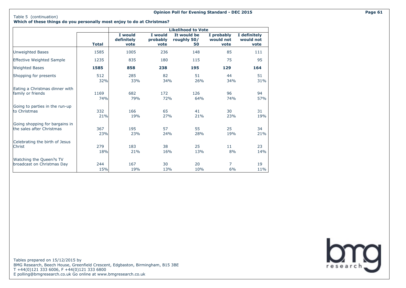# **Which of these things do you personally most enjoy to do at Christmas?**

|                                  |              |                               |                             | <b>Likelihood to Vote</b>        |                                 |                                   |
|----------------------------------|--------------|-------------------------------|-----------------------------|----------------------------------|---------------------------------|-----------------------------------|
|                                  | <b>Total</b> | I would<br>definitely<br>vote | I would<br>probably<br>vote | It would be<br>roughly 50/<br>50 | I probably<br>would not<br>vote | I definitely<br>would not<br>vote |
| Unweighted Bases                 | 1585         | 1005                          | 236                         | 148                              | 85                              | 111                               |
| <b>Effective Weighted Sample</b> | 1235         | 835                           | 180                         | 115                              | 75                              | 95                                |
| <b>Weighted Bases</b>            | 1585         | 858                           | 238                         | 195                              | 129                             | 164                               |
| Shopping for presents            | 512          | 285                           | 82                          | 51                               | 44                              | 51                                |
|                                  | 32%          | 33%                           | 34%                         | 26%                              | 34%                             | 31%                               |
| Eating a Christmas dinner with   | 1169         | 682                           | 172                         | 126                              | 96                              | 94                                |
| family or friends                | 74%          | 79%                           | 72%                         | 64%                              | 74%                             | 57%                               |
| Going to parties in the run-up   | 332          | 166                           | 65                          | 41                               | 30                              | 31                                |
| to Christmas                     | 21%          | 19%                           | 27%                         | 21%                              | 23%                             | 19%                               |
| Going shopping for bargains in   | 367          | 195                           | 57                          | 55                               | 25                              | 34                                |
| the sales after Christmas        | 23%          | 23%                           | 24%                         | 28%                              | 19%                             | 21%                               |
| Celebrating the birth of Jesus   | 279          | 183                           | 38                          | 25                               | 11                              | 23                                |
| Christ                           | 18%          | 21%                           | 16%                         | 13%                              | 8%                              | 14%                               |
| Watching the Queen?s TV          | 244          | 167                           | 30                          | 20                               | $\overline{7}$                  | 19                                |
| broadcast on Christmas Day       | 15%          | 19%                           | 13%                         | 10%                              | 6%                              | 11%                               |

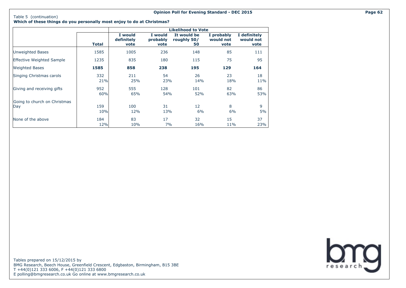# **Which of these things do you personally most enjoy to do at Christmas?**

|                                     |              |                               |                             | <b>Likelihood to Vote</b>        |                                 |                                   |
|-------------------------------------|--------------|-------------------------------|-----------------------------|----------------------------------|---------------------------------|-----------------------------------|
|                                     | <b>Total</b> | I would<br>definitely<br>vote | I would<br>probably<br>vote | It would be<br>roughly 50/<br>50 | I probably<br>would not<br>vote | I definitely<br>would not<br>vote |
| <b>Unweighted Bases</b>             | 1585         | 1005                          | 236                         | 148                              | 85                              | 111                               |
| <b>Effective Weighted Sample</b>    | 1235         | 835                           | 180                         | 115                              | 75                              | 95                                |
| <b>Weighted Bases</b>               | 1585         | 858                           | 238                         | 195                              | 129                             | 164                               |
| Singing Christmas carols            | 332<br>21%   | 211<br>25%                    | 54<br>23%                   | 26<br>14%                        | 23<br>18%                       | 18<br>11%                         |
| Giving and receiving gifts          | 952<br>60%   | 555<br>65%                    | 128<br>54%                  | 101<br>52%                       | 82<br>63%                       | 86<br>53%                         |
| Going to church on Christmas<br>Day | 159<br>10%   | 100<br>12%                    | 31<br>13%                   | 12<br>6%                         | 8<br>6%                         | 9<br>5%                           |
| None of the above                   | 184<br>12%   | 83<br>10%                     | 17<br>7%                    | 32<br>16%                        | 15<br>11%                       | 37<br>23%                         |

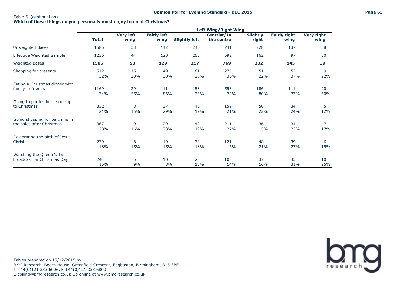# **Which of these things do you personally most enjoy to do at Christmas?**

|                                  |       |                  |                    |                      | <b>Left Wing/Right Wing</b> |                 |                     |                   |
|----------------------------------|-------|------------------|--------------------|----------------------|-----------------------------|-----------------|---------------------|-------------------|
|                                  |       | <b>Very left</b> | <b>Fairly left</b> |                      | Centrist/In                 | <b>Slightly</b> | <b>Fairly right</b> | <b>Very right</b> |
|                                  | Total | wing             | wing               | <b>Slightly left</b> | the centre                  | right           | wing                | wing              |
| <b>Unweighted Bases</b>          | 1585  | 53               | 142                | 246                  | 741                         | 228             | 137                 | 38                |
| <b>Effective Weighted Sample</b> | 1235  | 44               | 120                | 203                  | 592                         | 162             | 97                  | 30                |
| <b>Weighted Bases</b>            | 1585  | 53               | 129                | 217                  | 769                         | 232             | 145                 | 39                |
| Shopping for presents            | 512   | 15               | 49                 | 61                   | 275                         | 51              | 53                  | 9                 |
|                                  | 32%   | 28%              | 38%                | 28%                  | 36%                         | 22%             | 37%                 | 22%               |
| Eating a Christmas dinner with   | 1169  | 29               | 111                | 158                  | 553                         | 186             | 111                 | 20                |
| family or friends                | 74%   | 55%              | 86%                | 73%                  | 72%                         | 80%             | 77%                 | 50%               |
| Going to parties in the run-up   | 332   | 8                | 37                 | 40                   | 159                         | 50              | 34                  | 5                 |
| to Christmas                     | 21%   | 15%              | 29%                | 19%                  | 21%                         | 22%             | 24%                 | 12%               |
| Going shopping for bargains in   | 367   | 9                | 29                 | 42                   | 211                         | 36              | 34                  | $\overline{7}$    |
| the sales after Christmas        | 23%   | 16%              | 23%                | 19%                  | 27%                         | 15%             | 23%                 | 17%               |
| Celebrating the birth of Jesus   | 279   | 8                | 19                 | 38                   | 121                         | 48              | 39                  | 6                 |
| Christ                           | 18%   | 15%              | 15%                | 18%                  | 16%                         | 21%             | 27%                 | 15%               |
| Watching the Queen?s TV          | 244   | 5                | 10                 | 28                   | 108                         | 37              | 45                  | 10                |
| broadcast on Christmas Day       | 15%   | 9%               | 8%                 | 13%                  | 14%                         | 16%             | 31%                 | 25%               |

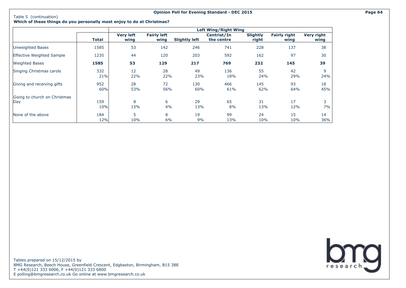#### **Opinion Poll for Evening Standard - DEC 2015 Page 64**

**Which of these things do you personally most enjoy to do at Christmas?**

|                                     |            |                          |                            |                      | <b>Left Wing/Right Wing</b> |                          |                             |                           |
|-------------------------------------|------------|--------------------------|----------------------------|----------------------|-----------------------------|--------------------------|-----------------------------|---------------------------|
|                                     | Total      | <b>Very left</b><br>wing | <b>Fairly left</b><br>wing | <b>Slightly left</b> | Centrist/In<br>the centre   | <b>Slightly</b><br>right | <b>Fairly right</b><br>wing | <b>Very right</b><br>wing |
| Unweighted Bases                    | 1585       | 53                       | 142                        | 246                  | 741                         | 228                      | 137                         | 38                        |
| <b>Effective Weighted Sample</b>    | 1235       | 44                       | 120                        | 203                  | 592                         | 162                      | 97                          | 30                        |
| <b>Weighted Bases</b>               | 1585       | 53                       | 129                        | 217                  | 769                         | 232                      | 145                         | 39                        |
| Singing Christmas carols            | 332<br>21% | 12<br>22%                | 28<br>22%                  | 49<br>23%            | 136<br>18%                  | 55<br>24%                | 42<br>29%                   | 9<br>24%                  |
| Giving and receiving gifts          | 952<br>60% | 28<br>53%                | 72<br>56%                  | 130<br>60%           | 466<br>61%                  | 145<br>62%               | 93<br>64%                   | 18<br>45%                 |
| Going to church on Christmas<br>Day | 159<br>10% | 8<br>15%                 | 6<br>4%                    | 29<br>13%            | 65<br>8%                    | 31<br>13%                | 17<br>12%                   | 3<br>7%                   |
| None of the above                   | 184<br>12% | 5<br>10%                 | 8<br>6%                    | 19<br>9%             | 99<br>13%                   | 24<br>10%                | 15<br>10%                   | 14<br>36%                 |

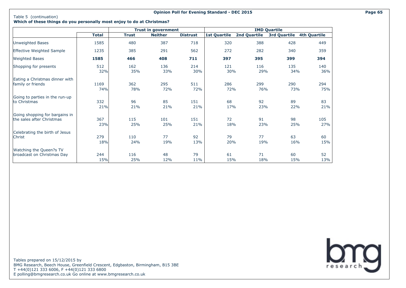#### **Opinion Poll for Evening Standard - DEC 2015 Page 65**

### **Which of these things do you personally most enjoy to do at Christmas?**

|                                |              |              | <b>Trust in government</b> |                 | <b>IMD Quartile</b> |              |                     |                     |  |
|--------------------------------|--------------|--------------|----------------------------|-----------------|---------------------|--------------|---------------------|---------------------|--|
|                                | <b>Total</b> | <b>Trust</b> | <b>Neither</b>             | <b>Distrust</b> | <b>1st Quartile</b> | 2nd Quartile | <b>3rd Quartile</b> | <b>4th Quartile</b> |  |
| Unweighted Bases               | 1585         | 480          | 387                        | 718             | 320                 | 388          | 428                 | 449                 |  |
| Effective Weighted Sample      | 1235         | 385          | 291                        | 562             | 272                 | 282          | 340                 | 359                 |  |
| <b>Weighted Bases</b>          | 1585         | 466          | 408                        | 711             | 397                 | 395          | 399                 | 394                 |  |
| Shopping for presents          | 512          | 162          | 136                        | 214             | 121                 | 116          | 135                 | 140                 |  |
|                                | 32%          | 35%          | 33%                        | 30%             | 30%                 | 29%          | 34%                 | 36%                 |  |
| Eating a Christmas dinner with | 1169         | 362          | 295                        | 511             | 286                 | 299          | 290                 | 294                 |  |
| family or friends              | 74%          | 78%          | 72%                        | 72%             | 72%                 | 76%          | 73%                 | 75%                 |  |
| Going to parties in the run-up | 332          | 96           | 85                         | 151             | 68                  | 92           | 89                  | 83                  |  |
| to Christmas                   | 21%          | 21%          | 21%                        | 21%             | 17%                 | 23%          | 22%                 | 21%                 |  |
| Going shopping for bargains in | 367          | 115          | 101                        | 151             | 72                  | 91           | 98                  | 105                 |  |
| the sales after Christmas      | 23%          | 25%          | 25%                        | 21%             | 18%                 | 23%          | 25%                 | 27%                 |  |
| Celebrating the birth of Jesus | 279          | 110          | 77                         | 92              | 79                  | 77           | 63                  | 60                  |  |
| Christ                         | 18%          | 24%          | 19%                        | 13%             | 20%                 | 19%          | 16%                 | 15%                 |  |
| Watching the Queen?s TV        | 244          | 116          | 48                         | 79              | 61                  | 71           | 60                  | 52                  |  |
| broadcast on Christmas Day     | 15%          | 25%          | 12%                        | 11%             | 15%                 | 18%          | 15%                 | 13%                 |  |